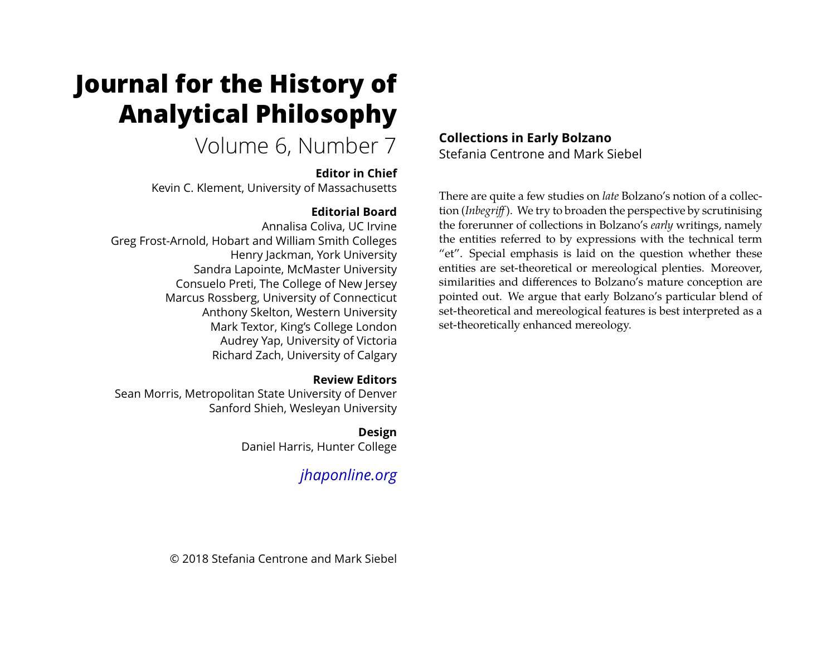# **Journal for the History of Analytical Philosophy**

# Volume 6, Number 7

### **Editor in Chief**

Kevin C. Klement, University of Massachusetts

# **Editorial Board**

Annalisa Coliva, UC Irvine Greg Frost-Arnold, Hobart and William Smith Colleges Henry Jackman, York University Sandra Lapointe, McMaster University Consuelo Preti, The College of New Jersey Marcus Rossberg, University of Connecticut Anthony Skelton, Western University Mark Textor, King's College London Audrey Yap, University of Victoria Richard Zach, University of Calgary

# **Review Editors**

Sean Morris, Metropolitan State University of Denver Sanford Shieh, Wesleyan University

# **Design**

Daniel Harris, Hunter College

# *[jhaponline.org](https://jhaponline.org)*

## **Collections in Early Bolzano** Stefania Centrone and Mark Siebel

There are quite a few studies on *late* Bolzano's notion of a collection (*Inbegriff* ). We try to broaden the perspective by scrutinising the forerunner of collections in Bolzano's *early* writings, namely the entities referred to by expressions with the technical term "et". Special emphasis is laid on the question whether these entities are set-theoretical or mereological plenties. Moreover, similarities and differences to Bolzano's mature conception are pointed out. We argue that early Bolzano's particular blend of set-theoretical and mereological features is best interpreted as a set-theoretically enhanced mereology.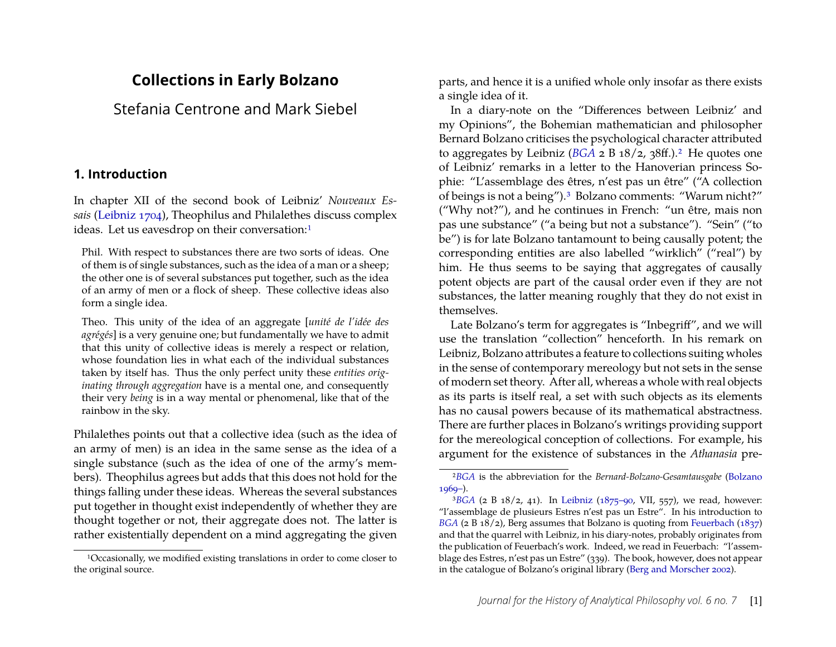# **Collections in Early Bolzano**

Stefania Centrone and Mark Siebel

#### **1. Introduction**

In chapter XII of the second book of Leibniz' *Nouveaux Essais* [\(Leibniz](#page-24-0) [1704\)](#page-24-0), Theophilus and Philalethes discuss complex ideas. Let us eavesdrop on their conversation:<sup>1</sup>

Phil. With respect to substances there are two sorts of ideas. One of them is of single substances, such as the idea of a man or a sheep; the other one is of several substances put together, such as the idea of an army of men or a flock of sheep. These collective ideas also form a single idea.

Theo. This unity of the idea of an aggregate [*unité de l'idée des agrégés*] is a very genuine one; but fundamentally we have to admit that this unity of collective ideas is merely a respect or relation, whose foundation lies in what each of the individual substances taken by itself has. Thus the only perfect unity these *entities originating through aggregation* have is a mental one, and consequently their very *being* is in a way mental or phenomenal, like that of the rainbow in the sky.

Philalethes points out that a collective idea (such as the idea of an army of men) is an idea in the same sense as the idea of a single substance (such as the idea of one of the army's members). Theophilus agrees but adds that this does not hold for the things falling under these ideas. Whereas the several substances put together in thought exist independently of whether they are thought together or not, their aggregate does not. The latter is rather existentially dependent on a mind aggregating the given parts, and hence it is a unified whole only insofar as there exists a single idea of it.

In a diary-note on the "Differences between Leibniz' and my Opinions", the Bohemian mathematician and philosopher Bernard Bolzano criticises the psychological character attributed to aggregates by Leibniz (*[BGA](#page-23-0)* 2 B 18/2, 38ff.)[.2](#page-1-1) He quotes one of Leibniz' remarks in a letter to the Hanoverian princess Sophie: "L'assemblage des êtres, n'est pas un être" ("A collection of beings is not a being")[.3](#page-1-2) Bolzano comments: "Warum nicht?" ("Why not?"), and he continues in French: "un être, mais non pas une substance" ("a being but not a substance"). "Sein" ("to be") is for late Bolzano tantamount to being causally potent; the corresponding entities are also labelled "wirklich" ("real") by him. He thus seems to be saying that aggregates of causally potent objects are part of the causal order even if they are not substances, the latter meaning roughly that they do not exist in themselves.

Late Bolzano's term for aggregates is "Inbegriff", and we will use the translation "collection" henceforth. In his remark on Leibniz, Bolzano attributes a feature to collections suiting wholes in the sense of contemporary mereology but not sets in the sense of modern set theory. After all, whereas a whole with real objects as its parts is itself real, a set with such objects as its elements has no causal powers because of its mathematical abstractness. There are further places in Bolzano's writings providing support for the mereological conception of collections. For example, his argument for the existence of substances in the *Athanasia* pre-

<span id="page-1-0"></span><sup>1</sup>Occasionally, we modified existing translations in order to come closer to the original source.

<span id="page-1-1"></span><sup>2</sup>*[BGA](#page-23-0)* is the abbreviation for the *Bernard-Bolzano-Gesamtausgabe* [\(Bolzano](#page-23-0)  $1969-$ ).

<span id="page-1-2"></span><sup>&</sup>lt;sup>3</sup>[BGA](#page-23-0) (2 B 18/2, 41). In [Leibniz](#page-24-1) [\(1875–90,](#page-24-1) VII, 557), we read, however: "l'assemblage de plusieurs Estres n'est pas un Estre". In his introduction to *[BGA](#page-23-0)* (2 B 18/2), Berg assumes that Bolzano is quoting from [Feuerbach](#page-23-1) [\(1837\)](#page-23-1) and that the quarrel with Leibniz, in his diary-notes, probably originates from the publication of Feuerbach's work. Indeed, we read in Feuerbach: "l'assemblage des Estres, n'est pas un Estre" (339). The book, however, does not appear in the catalogue of Bolzano's original library [\(Berg and Morscher](#page-22-0) [2002\)](#page-22-0).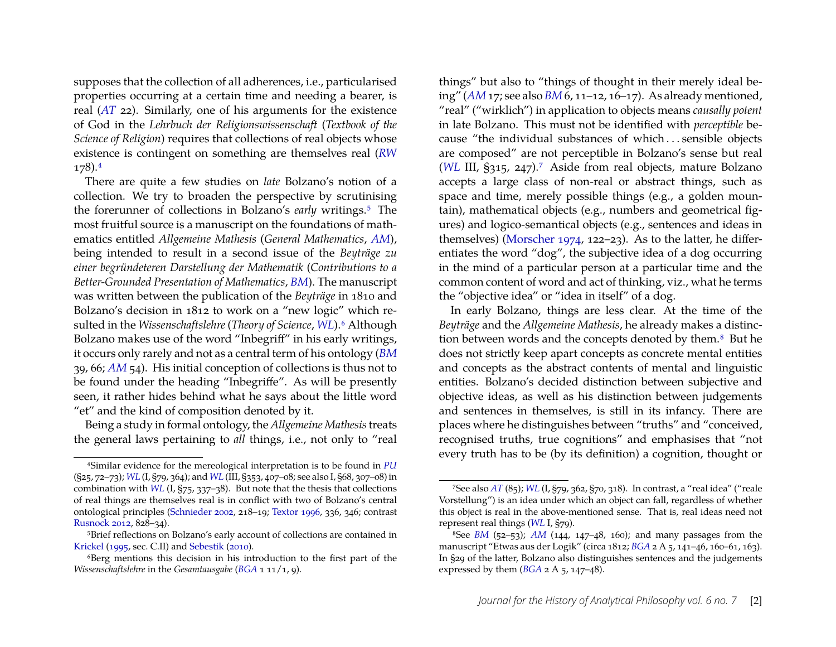supposes that the collection of all adherences, i.e., particularised properties occurring at a certain time and needing a bearer, is real (*[AT](#page-23-2)* 22). Similarly, one of his arguments for the existence of God in the *Lehrbuch der Religionswissenschaft* (*Textbook of the Science of Religion*) requires that collections of real objects whose existence is contingent on something are themselves real (*[RW](#page-23-3)* 178)[.4](#page-2-0)

There are quite a few studies on *late* Bolzano's notion of a collection. We try to broaden the perspective by scrutinising the forerunner of collections in Bolzano's *early* writings[.5](#page-2-1) The most fruitful source is a manuscript on the foundations of mathematics entitled *Allgemeine Mathesis* (*General Mathematics*, *[AM](#page-22-1)*), being intended to result in a second issue of the *Beyträge zu einer begründeteren Darstellung der Mathematik* (*Contributions to a Better-Grounded Presentation of Mathematics*, *[BM](#page-22-2)*). The manuscript was written between the publication of the *Beyträge* in 1810 and Bolzano's decision in 1812 to work on a "new logic" which resulted in the *Wissenschaftslehre* (*Theory of Science*, *[WL](#page-23-4)*)[.6](#page-2-2) Although Bolzano makes use of the word "Inbegriff" in his early writings, it occurs only rarely and not as a central term of his ontology (*[BM](#page-22-2)* 39, 66; *[AM](#page-22-1)* 54). His initial conception of collections is thus not to be found under the heading "Inbegriffe". As will be presently seen, it rather hides behind what he says about the little word "et" and the kind of composition denoted by it.

Being a study in formal ontology, the *Allgemeine Mathesis*treats the general laws pertaining to *all* things, i.e., not only to "real

things" but also to "things of thought in their merely ideal being" (*[AM](#page-22-1)* 17; see also *[BM](#page-22-2)* 6, 11–12, 16–17). As already mentioned, "real" ("wirklich") in application to objects means *causally potent* in late Bolzano. This must not be identified with *perceptible* because "the individual substances of which . . . sensible objects are composed" are not perceptible in Bolzano's sense but real (*[WL](#page-23-4)* III, §315, 247)[.7](#page-2-3) Aside from real objects, mature Bolzano accepts a large class of non-real or abstract things, such as space and time, merely possible things (e.g., a golden mountain), mathematical objects (e.g., numbers and geometrical figures) and logico-semantical objects (e.g., sentences and ideas in themselves) [\(Morscher](#page-24-7) [1974,](#page-24-7) 122–23). As to the latter, he differentiates the word "dog", the subjective idea of a dog occurring in the mind of a particular person at a particular time and the common content of word and act of thinking, viz., what he terms the "objective idea" or "idea in itself" of a dog.

In early Bolzano, things are less clear. At the time of the *Beyträge* and the *Allgemeine Mathesis*, he already makes a distinction between words and the concepts denoted by them.<sup>8</sup> But he does not strictly keep apart concepts as concrete mental entities and concepts as the abstract contents of mental and linguistic entities. Bolzano's decided distinction between subjective and objective ideas, as well as his distinction between judgements and sentences in themselves, is still in its infancy. There are places where he distinguishes between "truths" and "conceived, recognised truths, true cognitions" and emphasises that "not every truth has to be (by its definition) a cognition, thought or

<span id="page-2-0"></span><sup>4</sup>Similar evidence for the mereological interpretation is to be found in *[PU](#page-23-5)* (§25, 72–73); *[WL](#page-23-4)* (I, §79, 364); and *[WL](#page-23-4)* (III, §353, 407–08; see also I, §68, 307–08) in combination with *[WL](#page-23-4)* (I, §75, 337–38). But note that the thesis that collections of real things are themselves real is in conflict with two of Bolzano's central ontological principles [\(Schnieder](#page-24-2) [2002,](#page-24-2) 218–19; [Textor](#page-24-3) [1996,](#page-24-3) 336, 346; contrast [Rusnock](#page-24-4) [2012,](#page-24-4) 828–34).

<span id="page-2-1"></span><sup>5</sup>Brief reflections on Bolzano's early account of collections are contained in [Krickel](#page-24-5) [\(1995,](#page-24-5) sec. C.II) and [Sebestik](#page-24-6) [\(2010\)](#page-24-6).

<span id="page-2-2"></span><sup>&</sup>lt;sup>6</sup>Berg mentions this decision in his introduction to the first part of the *Wissenschaftslehre* in the *Gesamtausgabe* (*[BGA](#page-23-0)* 1 11/1, 9).

<span id="page-2-3"></span><sup>7</sup>See also *[AT](#page-23-2)* (85); *[WL](#page-23-4)* (I, §79, 362, §70, 318). In contrast, a "real idea" ("reale Vorstellung") is an idea under which an object can fall, regardless of whether this object is real in the above-mentioned sense. That is, real ideas need not represent real things (*[WL](#page-23-4)* I, §79).

<span id="page-2-4"></span><sup>8</sup>See *[BM](#page-22-2)* (52–53); *[AM](#page-22-1)* (144, 147–48, 160); and many passages from the manuscript "Etwas aus der Logik" (circa 1812; *[BGA](#page-23-0)* 2 A 5, 141–46, 160–61, 163). In §29 of the latter, Bolzano also distinguishes sentences and the judgements expressed by them  $(BGA \geq A \leq 5, 147-48)$  $(BGA \geq A \leq 5, 147-48)$  $(BGA \geq A \leq 5, 147-48)$ .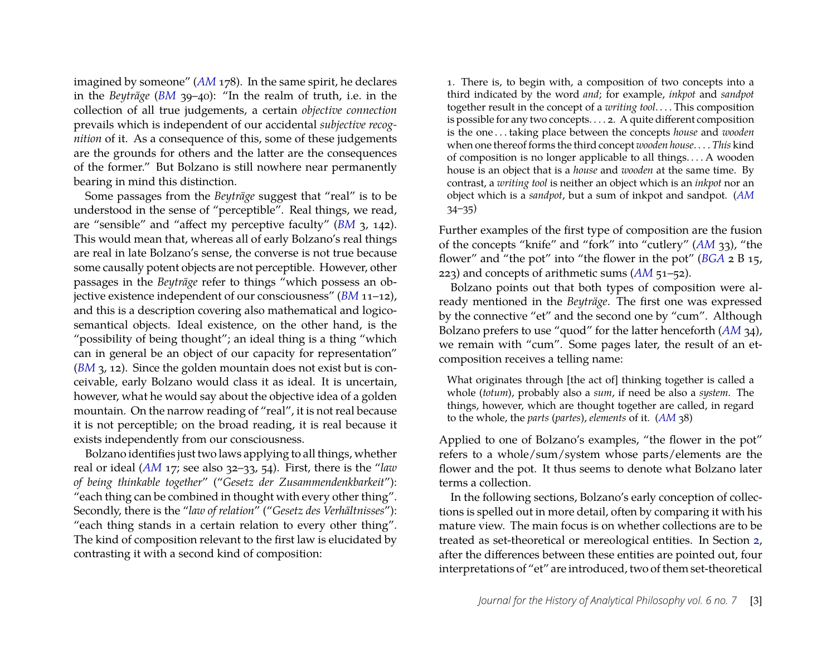imagined by someone" (*[AM](#page-22-1)* 178). In the same spirit, he declares in the *Beyträge* (*[BM](#page-22-2)* 39–40): "In the realm of truth, i.e. in the collection of all true judgements, a certain *objective connection* prevails which is independent of our accidental *subjective recognition* of it. As a consequence of this, some of these judgements are the grounds for others and the latter are the consequences of the former." But Bolzano is still nowhere near permanently bearing in mind this distinction.

Some passages from the *Beyträge* suggest that "real" is to be understood in the sense of "perceptible". Real things, we read, are "sensible" and "affect my perceptive faculty" (*[BM](#page-22-2)* 3, 142). This would mean that, whereas all of early Bolzano's real things are real in late Bolzano's sense, the converse is not true because some causally potent objects are not perceptible. However, other passages in the *Beyträge* refer to things "which possess an objective existence independent of our consciousness" (*[BM](#page-22-2)* 11–12), and this is a description covering also mathematical and logicosemantical objects. Ideal existence, on the other hand, is the "possibility of being thought"; an ideal thing is a thing "which can in general be an object of our capacity for representation" (*[BM](#page-22-2)* 3, 12). Since the golden mountain does not exist but is conceivable, early Bolzano would class it as ideal. It is uncertain, however, what he would say about the objective idea of a golden mountain. On the narrow reading of "real", it is not real because it is not perceptible; on the broad reading, it is real because it exists independently from our consciousness.

Bolzano identifies just two laws applying to all things, whether real or ideal (*[AM](#page-22-1)* 17; see also 32–33, 54). First, there is the "*law of being thinkable together*" ("*Gesetz der Zusammendenkbarkeit*"): "each thing can be combined in thought with every other thing". Secondly, there is the "*law of relation*" ("*Gesetz des Verhältnisses*"): "each thing stands in a certain relation to every other thing". The kind of composition relevant to the first law is elucidated by contrasting it with a second kind of composition:

1. There is, to begin with, a composition of two concepts into a third indicated by the word *and*; for example, *inkpot* and *sandpot* together result in the concept of a *writing tool*. . . . This composition is possible for any two concepts. . . . 2. A quite different composition is the one . . . taking place between the concepts *house* and *wooden* when one thereof forms the third concept *wooden house*. . . . *This* kind of composition is no longer applicable to all things. . . . A wooden house is an object that is a *house* and *wooden* at the same time. By contrast, a *writing tool* is neither an object which is an *inkpot* nor an object which is a *sandpot*, but a sum of inkpot and sandpot. (*[AM](#page-22-1)* 34–35)

Further examples of the first type of composition are the fusion of the concepts "knife" and "fork" into "cutlery" (*[AM](#page-22-1)* 33), "the flower" and "the pot" into "the flower in the pot" (*[BGA](#page-23-0)* 2 B 15, 223) and concepts of arithmetic sums (*[AM](#page-22-1)* 51–52).

Bolzano points out that both types of composition were already mentioned in the *Beyträge*. The first one was expressed by the connective "et" and the second one by "cum". Although Bolzano prefers to use "quod" for the latter henceforth (*[AM](#page-22-1)* 34), we remain with "cum". Some pages later, the result of an etcomposition receives a telling name:

What originates through [the act of] thinking together is called a whole (*totum*), probably also a *sum*, if need be also a *system*. The things, however, which are thought together are called, in regard to the whole, the *parts* (*partes*), *elements* of it. (*[AM](#page-22-1)* 38)

Applied to one of Bolzano's examples, "the flower in the pot" refers to a whole/sum/system whose parts/elements are the flower and the pot. It thus seems to denote what Bolzano later terms a collection.

In the following sections, Bolzano's early conception of collections is spelled out in more detail, often by comparing it with his mature view. The main focus is on whether collections are to be treated as set-theoretical or mereological entities. In Section [2,](#page-4-0) after the differences between these entities are pointed out, four interpretations of "et" are introduced, two of them set-theoretical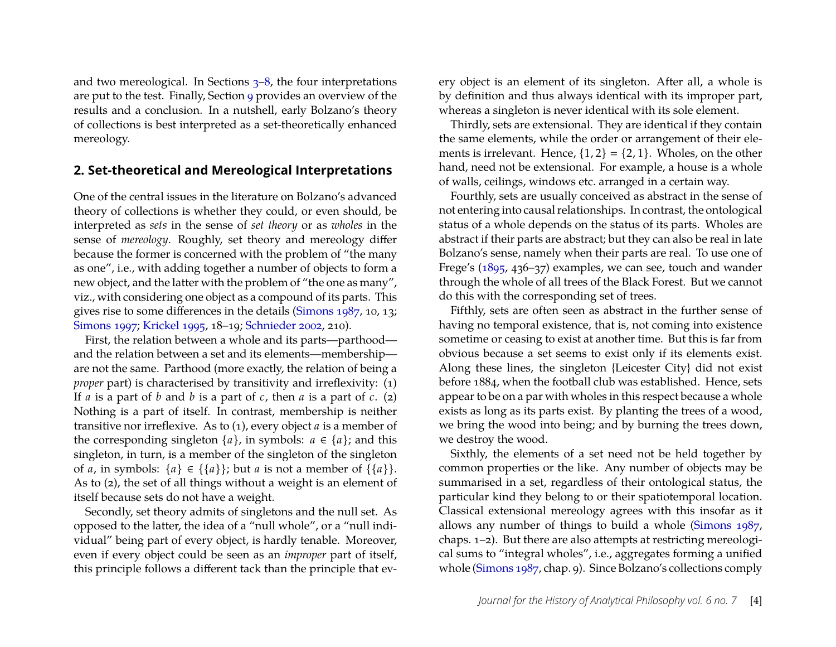and two mereological. In Sections [3–](#page-7-0)[8,](#page-16-0) the four interpretations are put to the test. Finally, Section [9](#page-21-0) provides an overview of the results and a conclusion. In a nutshell, early Bolzano's theory of collections is best interpreted as a set-theoretically enhanced mereology.

#### <span id="page-4-0"></span>**2. Set-theoretical and Mereological Interpretations**

One of the central issues in the literature on Bolzano's advanced theory of collections is whether they could, or even should, be interpreted as *sets* in the sense of *set theory* or as *wholes* in the sense of *mereology*. Roughly, set theory and mereology differ because the former is concerned with the problem of "the many as one", i.e., with adding together a number of objects to form a new object, and the latter with the problem of "the one as many", viz., with considering one object as a compound of its parts. This gives rise to some differences in the details [\(Simons](#page-24-8) [1987,](#page-24-8) 10, 13; [Simons](#page-24-9) [1997;](#page-24-9) [Krickel](#page-24-5) [1995,](#page-24-5) 18–19; [Schnieder](#page-24-2) [2002,](#page-24-2) 210).

First, the relation between a whole and its parts—parthood and the relation between a set and its elements—membership are not the same. Parthood (more exactly, the relation of being a *proper* part) is characterised by transitivity and irreflexivity: (1) If *a* is a part of *b* and *b* is a part of *c*, then *a* is a part of *c*. (2) Nothing is a part of itself. In contrast, membership is neither transitive nor irreflexive. As to (1), every object *a* is a member of the corresponding singleton  $\{a\}$ , in symbols:  $a \in \{a\}$ ; and this singleton, in turn, is a member of the singleton of the singleton of *a*, in symbols:  $\{a\} \in \{\{a\}\}\$ ; but *a* is not a member of  $\{\{a\}\}\$ . As to (2), the set of all things without a weight is an element of itself because sets do not have a weight.

Secondly, set theory admits of singletons and the null set. As opposed to the latter, the idea of a "null whole", or a "null individual" being part of every object, is hardly tenable. Moreover, even if every object could be seen as an *improper* part of itself, this principle follows a different tack than the principle that every object is an element of its singleton. After all, a whole is by definition and thus always identical with its improper part, whereas a singleton is never identical with its sole element.

Thirdly, sets are extensional. They are identical if they contain the same elements, while the order or arrangement of their elements is irrelevant. Hence,  $\{1, 2\} = \{2, 1\}$ . Wholes, on the other hand, need not be extensional. For example, a house is a whole of walls, ceilings, windows etc. arranged in a certain way.

Fourthly, sets are usually conceived as abstract in the sense of not entering into causal relationships. In contrast, the ontological status of a whole depends on the status of its parts. Wholes are abstract if their parts are abstract; but they can also be real in late Bolzano's sense, namely when their parts are real. To use one of Frege's [\(1895,](#page-23-6) 436–37) examples, we can see, touch and wander through the whole of all trees of the Black Forest. But we cannot do this with the corresponding set of trees.

Fifthly, sets are often seen as abstract in the further sense of having no temporal existence, that is, not coming into existence sometime or ceasing to exist at another time. But this is far from obvious because a set seems to exist only if its elements exist. Along these lines, the singleton {Leicester City} did not exist before 1884, when the football club was established. Hence, sets appear to be on a par with wholes in this respect because a whole exists as long as its parts exist. By planting the trees of a wood, we bring the wood into being; and by burning the trees down, we destroy the wood.

Sixthly, the elements of a set need not be held together by common properties or the like. Any number of objects may be summarised in a set, regardless of their ontological status, the particular kind they belong to or their spatiotemporal location. Classical extensional mereology agrees with this insofar as it allows any number of things to build a whole [\(Simons](#page-24-8) [1987,](#page-24-8) chaps. 1–2). But there are also attempts at restricting mereological sums to "integral wholes", i.e., aggregates forming a unified whole [\(Simons](#page-24-8) [1987,](#page-24-8) chap. 9). Since Bolzano's collections comply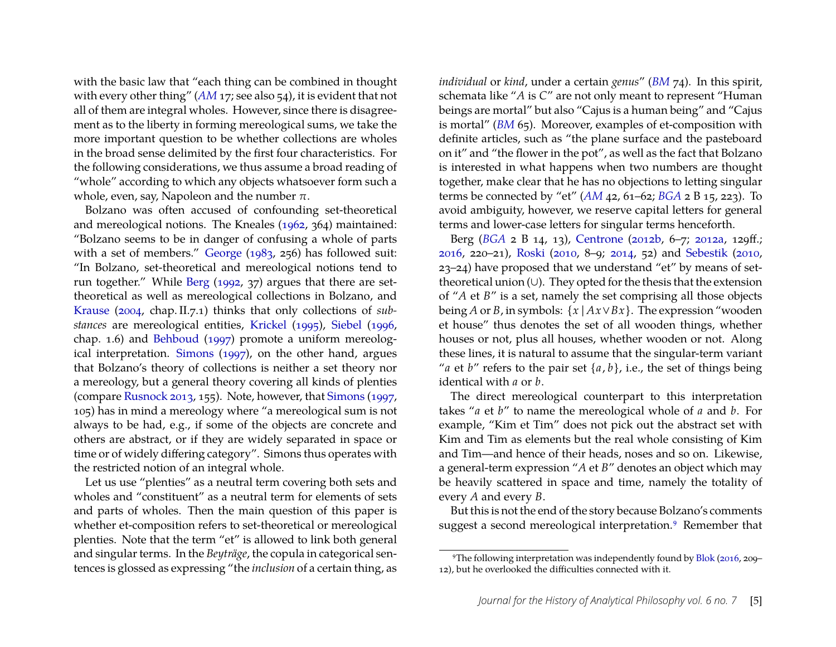with the basic law that "each thing can be combined in thought with every other thing" ([AM](#page-22-1) 17; see also 54), it is evident that not all of them are integral wholes. However, since there is disagreement as to the liberty in forming mereological sums, we take the more important question to be whether collections are wholes in the broad sense delimited by the first four characteristics. For the following considerations, we thus assume a broad reading of "whole" according to which any objects whatsoever form such a whole, even, say, Napoleon and the number  $\pi$ .

Bolzano was often accused of confounding set-theoretical and mereological notions. The Kneales [\(1962,](#page-24-10) 364) maintained: "Bolzano seems to be in danger of confusing a whole of parts with a set of members." [George](#page-23-7) [\(1983,](#page-23-7) 256) has followed suit: "In Bolzano, set-theoretical and mereological notions tend to run together." While [Berg](#page-22-3) [\(1992,](#page-22-3) 37) argues that there are settheoretical as well as mereological collections in Bolzano, and [Krause](#page-24-11) [\(2004,](#page-24-11) chap. II.7.1) thinks that only collections of *substances* are mereological entities, [Krickel](#page-24-5) [\(1995\)](#page-24-5), [Siebel](#page-24-12) [\(1996,](#page-24-12) chap. 1.6) and [Behboud](#page-22-4) [\(1997\)](#page-22-4) promote a uniform mereological interpretation. [Simons](#page-24-9) [\(1997\)](#page-24-9), on the other hand, argues that Bolzano's theory of collections is neither a set theory nor a mereology, but a general theory covering all kinds of plenties (compare [Rusnock](#page-24-13) [2013,](#page-24-13) 155). Note, however, that [Simons](#page-24-9) [\(1997,](#page-24-9) 105) has in mind a mereology where "a mereological sum is not always to be had, e.g., if some of the objects are concrete and others are abstract, or if they are widely separated in space or time or of widely differing category". Simons thus operates with the restricted notion of an integral whole.

Let us use "plenties" as a neutral term covering both sets and wholes and "constituent" as a neutral term for elements of sets and parts of wholes. Then the main question of this paper is whether et-composition refers to set-theoretical or mereological plenties. Note that the term "et" is allowed to link both general and singular terms. In the *Beyträge*, the copula in categorical sentences is glossed as expressing "the *inclusion* of a certain thing, as

*individual* or *kind*, under a certain *genus*" (*[BM](#page-22-2)* 74). In this spirit, schemata like "*A* is *C*" are not only meant to represent "Human beings are mortal" but also "Cajus is a human being" and "Cajus is mortal" (*[BM](#page-22-2)* 65). Moreover, examples of et-composition with definite articles, such as "the plane surface and the pasteboard on it" and "the flower in the pot", as well as the fact that Bolzano is interested in what happens when two numbers are thought together, make clear that he has no objections to letting singular terms be connected by "et" (*[AM](#page-22-1)* 42, 61–62; *[BGA](#page-23-0)* 2 B 15, 223). To avoid ambiguity, however, we reserve capital letters for general terms and lower-case letters for singular terms henceforth.

Berg (*[BGA](#page-23-0)* 2 B 14, 13), [Centrone](#page-23-8) [\(2012b,](#page-23-8) 6–7; [2012a,](#page-23-9) 129ff.; [2016,](#page-23-10) 220–21), [Roski](#page-24-14) [\(2010,](#page-24-14) 8–9; [2014,](#page-24-15) 52) and [Sebestik](#page-24-6) [\(2010,](#page-24-6) 23–24) have proposed that we understand "et" by means of settheoretical union (∪). They opted for the thesis that the extension of "*A* et *B*" is a set, namely the set comprising all those objects being *A* or *B*, in symbols:  $\{x \mid Ax \lor Bx\}$ . The expression "wooden et house" thus denotes the set of all wooden things, whether houses or not, plus all houses, whether wooden or not. Along these lines, it is natural to assume that the singular-term variant "*a* et *b*" refers to the pair set  $\{a, b\}$ , i.e., the set of things being identical with *a* or *b*.

The direct mereological counterpart to this interpretation takes "*a* et *b*" to name the mereological whole of *a* and *b*. For example, "Kim et Tim" does not pick out the abstract set with Kim and Tim as elements but the real whole consisting of Kim and Tim—and hence of their heads, noses and so on. Likewise, a general-term expression "*A* et *B*" denotes an object which may be heavily scattered in space and time, namely the totality of every *A* and every *B*.

But this is not the end of the story because Bolzano's comments suggest a second mereological interpretation.<sup>9</sup> Remember that

<span id="page-5-0"></span><sup>9</sup>The following interpretation was independently found by [Blok](#page-22-5) [\(2016,](#page-22-5) 209– 12), but he overlooked the difficulties connected with it.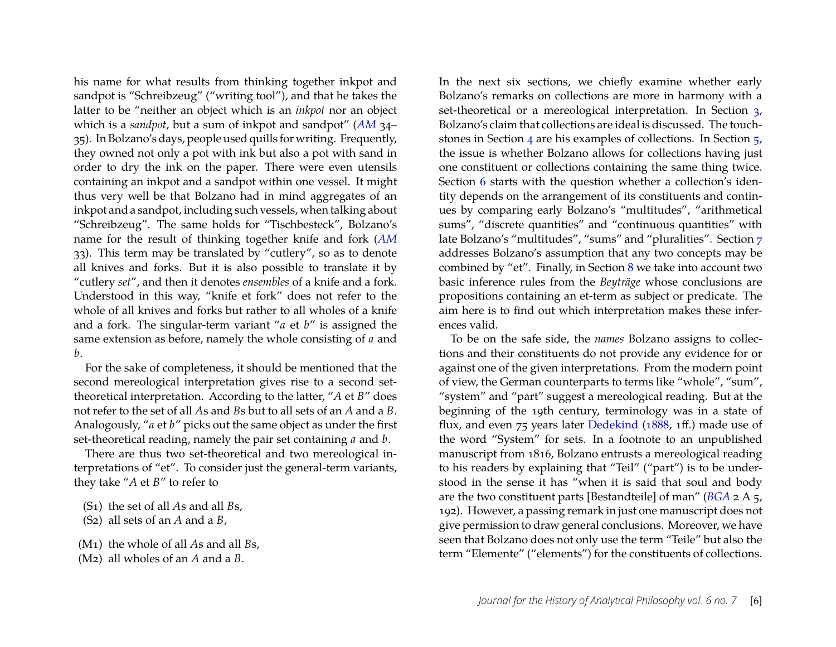his name for what results from thinking together inkpot and sandpot is "Schreibzeug" ("writing tool"), and that he takes the latter to be "neither an object which is an *inkpot* nor an object which is a *sandpot*, but a sum of inkpot and sandpot" (*[AM](#page-22-1)* 34– 35). In Bolzano's days, people used quills for writing. Frequently, they owned not only a pot with ink but also a pot with sand in order to dry the ink on the paper. There were even utensils containing an inkpot and a sandpot within one vessel. It might thus very well be that Bolzano had in mind aggregates of an inkpot and a sandpot, including such vessels, when talking about "Schreibzeug". The same holds for "Tischbesteck", Bolzano's name for the result of thinking together knife and fork (*[AM](#page-22-1)* 33). This term may be translated by "cutlery", so as to denote all knives and forks. But it is also possible to translate it by "cutlery *set*", and then it denotes *ensembles* of a knife and a fork. Understood in this way, "knife et fork" does not refer to the whole of all knives and forks but rather to all wholes of a knife and a fork. The singular-term variant "*a* et *b*" is assigned the same extension as before, namely the whole consisting of *a* and *b*.

For the sake of completeness, it should be mentioned that the second mereological interpretation gives rise to a second settheoretical interpretation. According to the latter, "*A* et *B*" does not refer to the set of all *A*s and *B*s but to all sets of an *A* and a *B*. Analogously, "*a* et *b*" picks out the same object as under the first set-theoretical reading, namely the pair set containing *a* and *b*.

There are thus two set-theoretical and two mereological interpretations of "et". To consider just the general-term variants, they take "*A* et *B*" to refer to

- <span id="page-6-0"></span>(S1) the set of all *A*s and all *B*s,
- <span id="page-6-1"></span>(S2) all sets of an *A* and a *B*,
- <span id="page-6-2"></span>(M1) the whole of all *A*s and all *B*s,
- <span id="page-6-3"></span>(M2) all wholes of an *A* and a *B*.

In the next six sections, we chiefly examine whether early Bolzano's remarks on collections are more in harmony with a set-theoretical or a mereological interpretation. In Section [3,](#page-7-0) Bolzano's claim that collections are ideal is discussed. The touchstones in Section [4](#page-9-0) are his examples of collections. In Section [5,](#page-9-1) the issue is whether Bolzano allows for collections having just one constituent or collections containing the same thing twice. Section [6](#page-11-0) starts with the question whether a collection's identity depends on the arrangement of its constituents and continues by comparing early Bolzano's "multitudes", "arithmetical sums", "discrete quantities" and "continuous quantities" with late Bolzano's "multitudes", "sums" and "pluralities". Section [7](#page-15-0) addresses Bolzano's assumption that any two concepts may be combined by "et". Finally, in Section [8](#page-16-0) we take into account two basic inference rules from the *Beyträge* whose conclusions are propositions containing an et-term as subject or predicate. The aim here is to find out which interpretation makes these inferences valid.

To be on the safe side, the *names* Bolzano assigns to collections and their constituents do not provide any evidence for or against one of the given interpretations. From the modern point of view, the German counterparts to terms like "whole", "sum", "system" and "part" suggest a mereological reading. But at the beginning of the 19th century, terminology was in a state of flux, and even 75 years later [Dedekind](#page-23-11) [\(1888,](#page-23-11) 1ff.) made use of the word "System" for sets. In a footnote to an unpublished manuscript from 1816, Bolzano entrusts a mereological reading to his readers by explaining that "Teil" ("part") is to be understood in the sense it has "when it is said that soul and body are the two constituent parts [Bestandteile] of man" (*[BGA](#page-23-0)* 2 A 5, 192). However, a passing remark in just one manuscript does not give permission to draw general conclusions. Moreover, we have seen that Bolzano does not only use the term "Teile" but also the term "Elemente" ("elements") for the constituents of collections.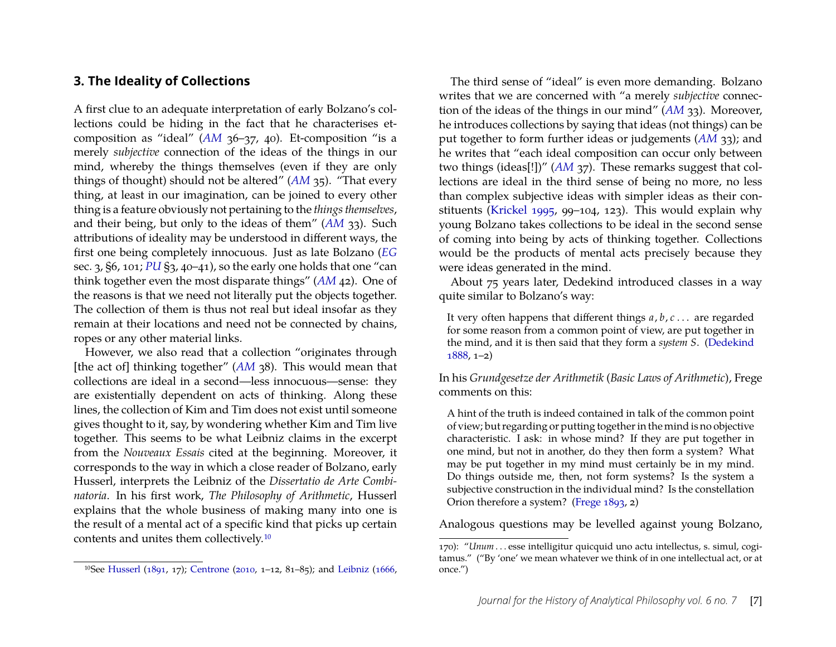#### <span id="page-7-0"></span>**3. The Ideality of Collections**

A first clue to an adequate interpretation of early Bolzano's collections could be hiding in the fact that he characterises etcomposition as "ideal" (*[AM](#page-22-1)* 36–37, 40). Et-composition "is a merely *subjective* connection of the ideas of the things in our mind, whereby the things themselves (even if they are only things of thought) should not be altered" (*[AM](#page-22-1)* 35). "That every thing, at least in our imagination, can be joined to every other thing is a feature obviously not pertaining to the *things themselves*, and their being, but only to the ideas of them" (*[AM](#page-22-1)* 33). Such attributions of ideality may be understood in different ways, the first one being completely innocuous. Just as late Bolzano (*[EG](#page-22-6)* sec. 3, §6, 101; *[PU](#page-23-5)* §3, 40–41), so the early one holds that one "can think together even the most disparate things" (*[AM](#page-22-1)* 42). One of the reasons is that we need not literally put the objects together. The collection of them is thus not real but ideal insofar as they remain at their locations and need not be connected by chains, ropes or any other material links.

However, we also read that a collection "originates through [the act of] thinking together" (*[AM](#page-22-1)* 38). This would mean that collections are ideal in a second—less innocuous—sense: they are existentially dependent on acts of thinking. Along these lines, the collection of Kim and Tim does not exist until someone gives thought to it, say, by wondering whether Kim and Tim live together. This seems to be what Leibniz claims in the excerpt from the *Nouveaux Essais* cited at the beginning. Moreover, it corresponds to the way in which a close reader of Bolzano, early Husserl, interprets the Leibniz of the *Dissertatio de Arte Combinatoria*. In his first work, *The Philosophy of Arithmetic*, Husserl explains that the whole business of making many into one is the result of a mental act of a specific kind that picks up certain contents and unites them collectively[.10](#page-7-1)

The third sense of "ideal" is even more demanding. Bolzano writes that we are concerned with "a merely *subjective* connection of the ideas of the things in our mind" (*[AM](#page-22-1)* 33). Moreover, he introduces collections by saying that ideas (not things) can be put together to form further ideas or judgements (*[AM](#page-22-1)* 33); and he writes that "each ideal composition can occur only between two things (ideas[!])" ([AM](#page-22-1) 37). These remarks suggest that collections are ideal in the third sense of being no more, no less than complex subjective ideas with simpler ideas as their constituents [\(Krickel](#page-24-5) [1995,](#page-24-5) 99–104, 123). This would explain why young Bolzano takes collections to be ideal in the second sense of coming into being by acts of thinking together. Collections would be the products of mental acts precisely because they were ideas generated in the mind.

About 75 years later, Dedekind introduced classes in a way quite similar to Bolzano's way:

It very often happens that different things *a*, *b*, *c* . . . are regarded for some reason from a common point of view, are put together in the mind, and it is then said that they form a *system S*. [\(Dedekind](#page-23-11) [1888,](#page-23-11) 1–2)

In his *Grundgesetze der Arithmetik* (*Basic Laws of Arithmetic*), Frege comments on this:

A hint of the truth is indeed contained in talk of the common point of view; but regarding or putting together in the mind is no objective characteristic. I ask: in whose mind? If they are put together in one mind, but not in another, do they then form a system? What may be put together in my mind must certainly be in my mind. Do things outside me, then, not form systems? Is the system a subjective construction in the individual mind? Is the constellation Orion therefore a system? [\(Frege](#page-23-14) [1893,](#page-23-14) 2)

Analogous questions may be levelled against young Bolzano,

<span id="page-7-1"></span><sup>10</sup>See [Husserl](#page-23-12) [\(1891,](#page-23-12) 17); [Centrone](#page-23-13) [\(2010,](#page-23-13) 1–12, 81–85); and [Leibniz](#page-24-16) [\(1666,](#page-24-16)

<sup>170): &</sup>quot;*Unum* . . . esse intelligitur quicquid uno actu intellectus, s. simul, cogitamus." ("By 'one' we mean whatever we think of in one intellectual act, or at once.")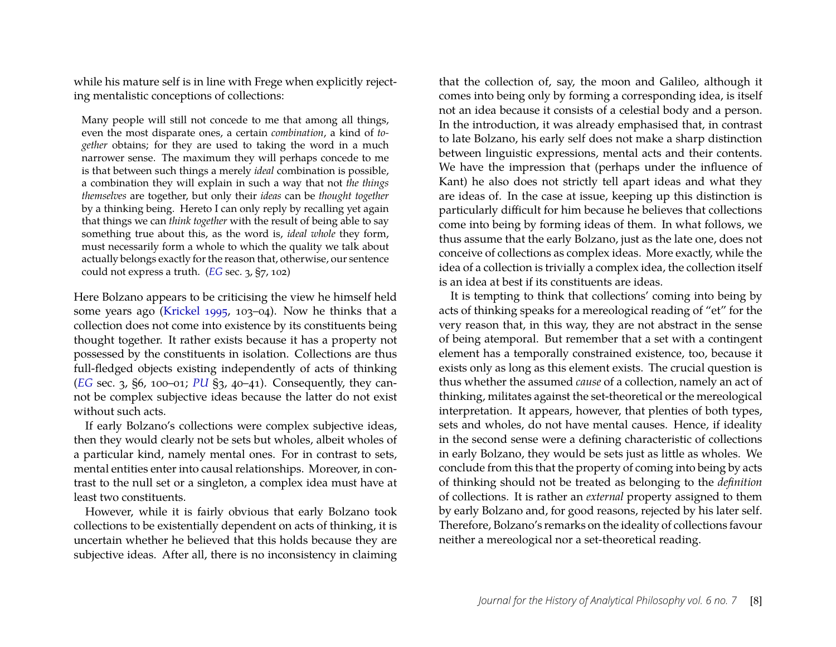while his mature self is in line with Frege when explicitly rejecting mentalistic conceptions of collections:

Many people will still not concede to me that among all things, even the most disparate ones, a certain *combination*, a kind of *together* obtains; for they are used to taking the word in a much narrower sense. The maximum they will perhaps concede to me is that between such things a merely *ideal* combination is possible, a combination they will explain in such a way that not *the things themselves* are together, but only their *ideas* can be *thought together* by a thinking being. Hereto I can only reply by recalling yet again that things we can *think together* with the result of being able to say something true about this, as the word is, *ideal whole* they form, must necessarily form a whole to which the quality we talk about actually belongs exactly for the reason that, otherwise, our sentence could not express a truth. (*[EG](#page-22-6)* sec. 3, §7, 102)

Here Bolzano appears to be criticising the view he himself held some years ago [\(Krickel](#page-24-5) [1995,](#page-24-5) 103–04). Now he thinks that a collection does not come into existence by its constituents being thought together. It rather exists because it has a property not possessed by the constituents in isolation. Collections are thus full-fledged objects existing independently of acts of thinking (*[EG](#page-22-6)* sec. 3, §6, 100–01; *[PU](#page-23-5)* §3, 40–41). Consequently, they cannot be complex subjective ideas because the latter do not exist without such acts.

If early Bolzano's collections were complex subjective ideas, then they would clearly not be sets but wholes, albeit wholes of a particular kind, namely mental ones. For in contrast to sets, mental entities enter into causal relationships. Moreover, in contrast to the null set or a singleton, a complex idea must have at least two constituents.

However, while it is fairly obvious that early Bolzano took collections to be existentially dependent on acts of thinking, it is uncertain whether he believed that this holds because they are subjective ideas. After all, there is no inconsistency in claiming

that the collection of, say, the moon and Galileo, although it comes into being only by forming a corresponding idea, is itself not an idea because it consists of a celestial body and a person. In the introduction, it was already emphasised that, in contrast to late Bolzano, his early self does not make a sharp distinction between linguistic expressions, mental acts and their contents. We have the impression that (perhaps under the influence of Kant) he also does not strictly tell apart ideas and what they are ideas of. In the case at issue, keeping up this distinction is particularly difficult for him because he believes that collections come into being by forming ideas of them. In what follows, we thus assume that the early Bolzano, just as the late one, does not conceive of collections as complex ideas. More exactly, while the idea of a collection is trivially a complex idea, the collection itself is an idea at best if its constituents are ideas.

It is tempting to think that collections' coming into being by acts of thinking speaks for a mereological reading of "et" for the very reason that, in this way, they are not abstract in the sense of being atemporal. But remember that a set with a contingent element has a temporally constrained existence, too, because it exists only as long as this element exists. The crucial question is thus whether the assumed *cause* of a collection, namely an act of thinking, militates against the set-theoretical or the mereological interpretation. It appears, however, that plenties of both types, sets and wholes, do not have mental causes. Hence, if ideality in the second sense were a defining characteristic of collections in early Bolzano, they would be sets just as little as wholes. We conclude from this that the property of coming into being by acts of thinking should not be treated as belonging to the *definition* of collections. It is rather an *external* property assigned to them by early Bolzano and, for good reasons, rejected by his later self. Therefore, Bolzano's remarks on the ideality of collections favour neither a mereological nor a set-theoretical reading.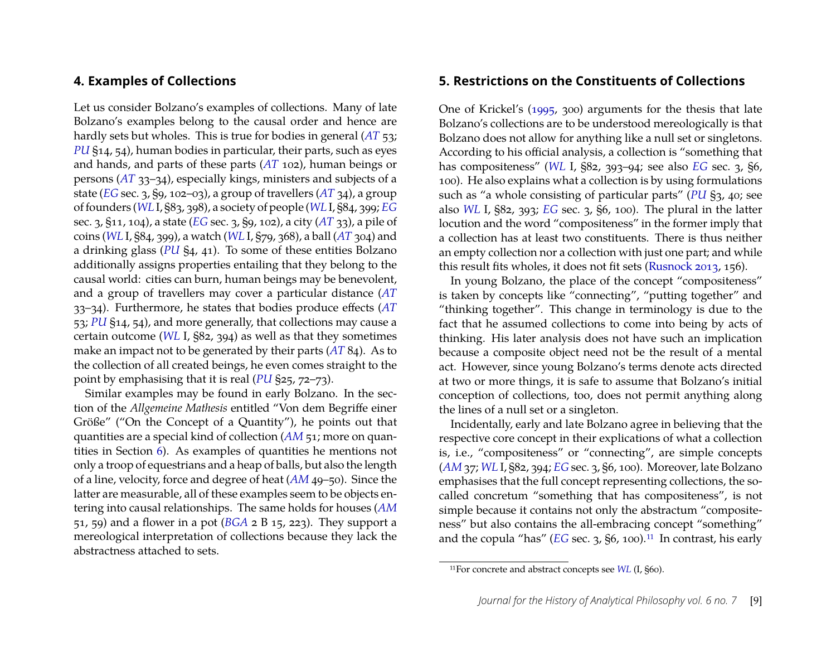#### <span id="page-9-0"></span>**4. Examples of Collections**

Let us consider Bolzano's examples of collections. Many of late Bolzano's examples belong to the causal order and hence are hardly sets but wholes. This is true for bodies in general (*[AT](#page-23-2)* 53; *[PU](#page-23-5)* §14, 54), human bodies in particular, their parts, such as eyes and hands, and parts of these parts (*[AT](#page-23-2)* 102), human beings or persons (*[AT](#page-23-2)* 33–34), especially kings, ministers and subjects of a state (*[EG](#page-22-6)* sec. 3, §9, 102–03), a group of travellers (*[AT](#page-23-2)* 34), a group of founders (*[WL](#page-23-4)* I, §83, 398), a society of people (*[WL](#page-23-4)* I, §84, 399; *[EG](#page-22-6)* sec. 3, §11, 104), a state (*[EG](#page-22-6)* sec. 3, §9, 102), a city (*[AT](#page-23-2)* 33), a pile of coins (*[WL](#page-23-4)* I, §84, 399), a watch (*[WL](#page-23-4)* I, §79, 368), a ball (*[AT](#page-23-2)* 304) and a drinking glass (*[PU](#page-23-5)* §4, 41). To some of these entities Bolzano additionally assigns properties entailing that they belong to the causal world: cities can burn, human beings may be benevolent, and a group of travellers may cover a particular distance (*[AT](#page-23-2)* 33–34). Furthermore, he states that bodies produce effects (*[AT](#page-23-2)* 53; *[PU](#page-23-5)* §14, 54), and more generally, that collections may cause a certain outcome (*[WL](#page-23-4)* I, §82, 394) as well as that they sometimes make an impact not to be generated by their parts (*[AT](#page-23-2)* 84). As to the collection of all created beings, he even comes straight to the point by emphasising that it is real (*[PU](#page-23-5)* §25, 72–73).

Similar examples may be found in early Bolzano. In the section of the *Allgemeine Mathesis* entitled "Von dem Begriffe einer Größe" ("On the Concept of a Quantity"), he points out that quantities are a special kind of collection (*[AM](#page-22-1)* 51; more on quantities in Section [6\)](#page-11-0). As examples of quantities he mentions not only a troop of equestrians and a heap of balls, but also the length of a line, velocity, force and degree of heat (*[AM](#page-22-1)* 49–50). Since the latter are measurable, all of these examples seem to be objects entering into causal relationships. The same holds for houses (*[AM](#page-22-1)* 51, 59) and a flower in a pot (*[BGA](#page-23-0)* 2 B 15, 223). They support a mereological interpretation of collections because they lack the abstractness attached to sets.

#### <span id="page-9-1"></span>**5. Restrictions on the Constituents of Collections**

One of Krickel's [\(1995,](#page-24-5) 300) arguments for the thesis that late Bolzano's collections are to be understood mereologically is that Bolzano does not allow for anything like a null set or singletons. According to his official analysis, a collection is "something that has compositeness" (*[WL](#page-23-4)* I, §82, 393–94; see also *[EG](#page-22-6)* sec. 3, §6, 100). He also explains what a collection is by using formulations such as "a whole consisting of particular parts" (*[PU](#page-23-5)* §3, 40; see also *[WL](#page-23-4)* I, §82, 393; *[EG](#page-22-6)* sec. 3, §6, 100). The plural in the latter locution and the word "compositeness" in the former imply that a collection has at least two constituents. There is thus neither an empty collection nor a collection with just one part; and while this result fits wholes, it does not fit sets [\(Rusnock](#page-24-13) [2013,](#page-24-13) 156).

In young Bolzano, the place of the concept "compositeness" is taken by concepts like "connecting", "putting together" and "thinking together". This change in terminology is due to the fact that he assumed collections to come into being by acts of thinking. His later analysis does not have such an implication because a composite object need not be the result of a mental act. However, since young Bolzano's terms denote acts directed at two or more things, it is safe to assume that Bolzano's initial conception of collections, too, does not permit anything along the lines of a null set or a singleton.

Incidentally, early and late Bolzano agree in believing that the respective core concept in their explications of what a collection is, i.e., "compositeness" or "connecting", are simple concepts (*[AM](#page-22-1)* 37; *[WL](#page-23-4)* I, §82, 394; *[EG](#page-22-6)* sec. 3, §6, 100). Moreover, late Bolzano emphasises that the full concept representing collections, the socalled concretum "something that has compositeness", is not simple because it contains not only the abstractum "compositeness" but also contains the all-embracing concept "something" and the copula "has"  $(EG \text{ sec. } 3, 86, 100).$  $(EG \text{ sec. } 3, 86, 100).$  $(EG \text{ sec. } 3, 86, 100).$ <sup>11</sup> In contrast, his early

<span id="page-9-2"></span><sup>11</sup>For concrete and abstract concepts see *[WL](#page-23-4)* (I, §60).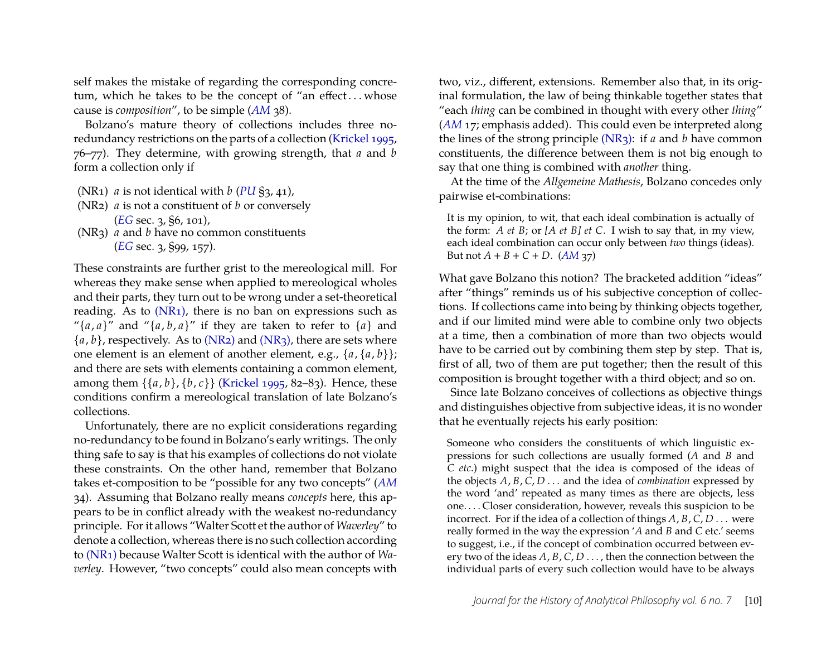self makes the mistake of regarding the corresponding concretum, which he takes to be the concept of "an effect...whose cause is *composition*", to be simple (*[AM](#page-22-1)* 38).

Bolzano's mature theory of collections includes three noredundancy restrictions on the parts of a collection [\(Krickel](#page-24-5) [1995,](#page-24-5) 76–77). They determine, with growing strength, that *a* and *b* form a collection only if

- <span id="page-10-0"></span>(NR1) *a* is not identical with *b* (*[PU](#page-23-5)* §3, 41),
- <span id="page-10-1"></span>(NR2) *a* is not a constituent of *b* or conversely (*[EG](#page-22-6)* sec. 3, §6, 101),
- <span id="page-10-2"></span>(NR3) *a* and *b* have no common constituents (*[EG](#page-22-6)* sec. 3, §99, 157).

These constraints are further grist to the mereological mill. For whereas they make sense when applied to mereological wholes and their parts, they turn out to be wrong under a set-theoretical reading. As to  $(NR_1)$ , there is no ban on expressions such as " $\{a, a\}$ " and " $\{a, b, a\}$ " if they are taken to refer to  $\{a\}$  and  ${a, b}$ , respectively. As to [\(NR2\)](#page-10-1) and [\(NR3\),](#page-10-2) there are sets where one element is an element of another element, e.g., {*a*, {*a*, *b*}}; and there are sets with elements containing a common element, among them {{*a*, *b*}, {*b*, *c*}} [\(Krickel](#page-24-5) [1995,](#page-24-5) 82–83). Hence, these conditions confirm a mereological translation of late Bolzano's collections.

Unfortunately, there are no explicit considerations regarding no-redundancy to be found in Bolzano's early writings. The only thing safe to say is that his examples of collections do not violate these constraints. On the other hand, remember that Bolzano takes et-composition to be "possible for any two concepts" (*[AM](#page-22-1)* 34). Assuming that Bolzano really means *concepts* here, this appears to be in conflict already with the weakest no-redundancy principle. For it allows "Walter Scott et the author of *Waverley*" to denote a collection, whereas there is no such collection according to [\(NR1\)](#page-10-0) because Walter Scott is identical with the author of *Waverley*. However, "two concepts" could also mean concepts with two, viz., different, extensions. Remember also that, in its original formulation, the law of being thinkable together states that "each *thing* can be combined in thought with every other *thing*" (*[AM](#page-22-1)* 17; emphasis added). This could even be interpreted along the lines of the strong principle [\(NR3\):](#page-10-2) if *a* and *b* have common constituents, the difference between them is not big enough to say that one thing is combined with *another* thing.

At the time of the *Allgemeine Mathesis*, Bolzano concedes only pairwise et-combinations:

It is my opinion, to wit, that each ideal combination is actually of the form: *A et B*; or *[A et B] et C*. I wish to say that, in my view, each ideal combination can occur only between *two* things (ideas). But not  $A + B + C + D$ . (*[AM](#page-22-1)* 37)

What gave Bolzano this notion? The bracketed addition "ideas" after "things" reminds us of his subjective conception of collections. If collections came into being by thinking objects together, and if our limited mind were able to combine only two objects at a time, then a combination of more than two objects would have to be carried out by combining them step by step. That is, first of all, two of them are put together; then the result of this composition is brought together with a third object; and so on.

Since late Bolzano conceives of collections as objective things and distinguishes objective from subjective ideas, it is no wonder that he eventually rejects his early position:

Someone who considers the constituents of which linguistic expressions for such collections are usually formed (*A* and *B* and *C etc*.) might suspect that the idea is composed of the ideas of the objects *A*, *B*, *C*, *D* . . . and the idea of *combination* expressed by the word 'and' repeated as many times as there are objects, less one. . . . Closer consideration, however, reveals this suspicion to be incorrect. For if the idea of a collection of things *A*, *B*, *C*, *D* . . . were really formed in the way the expression '*A* and *B* and *C* etc.' seems to suggest, i.e., if the concept of combination occurred between every two of the ideas *A*, *B*, *C*, *D* . . . , then the connection between the individual parts of every such collection would have to be always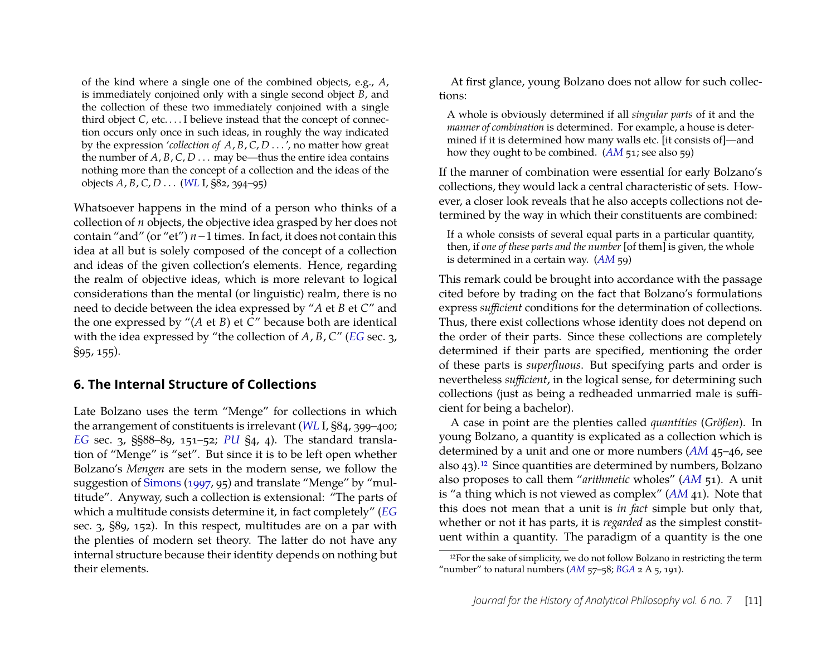of the kind where a single one of the combined objects, e.g., *A*, is immediately conjoined only with a single second object *B*, and the collection of these two immediately conjoined with a single third object *C*, etc. . . . I believe instead that the concept of connection occurs only once in such ideas, in roughly the way indicated by the expression '*collection of A*, *B*, *C*, *D* . . . ', no matter how great the number of  $A$ ,  $B$ ,  $C$ ,  $D$  . . . may be—thus the entire idea contains nothing more than the concept of a collection and the ideas of the objects *A*, *B*, *C*, *D* . . . (*[WL](#page-23-4)* I, §82, 394–95)

Whatsoever happens in the mind of a person who thinks of a collection of *n* objects, the objective idea grasped by her does not contain "and" (or "et") *n*−1 times. In fact, it does not contain this idea at all but is solely composed of the concept of a collection and ideas of the given collection's elements. Hence, regarding the realm of objective ideas, which is more relevant to logical considerations than the mental (or linguistic) realm, there is no need to decide between the idea expressed by "*A* et *B* et *C*" and the one expressed by "(*A* et *B*) et *C*" because both are identical with the idea expressed by "the collection of *A*, *B*, *C*" (*[EG](#page-22-6)* sec. 3, §95, 155).

#### <span id="page-11-0"></span>**6. The Internal Structure of Collections**

Late Bolzano uses the term "Menge" for collections in which the arrangement of constituents is irrelevant (*[WL](#page-23-4)* I, §84, 399–400; *[EG](#page-22-6)* sec. 3, §§88–89, 151–52; *[PU](#page-23-5)* §4, 4). The standard translation of "Menge" is "set". But since it is to be left open whether Bolzano's *Mengen* are sets in the modern sense, we follow the suggestion of [Simons](#page-24-9) [\(1997,](#page-24-9) 95) and translate "Menge" by "multitude". Anyway, such a collection is extensional: "The parts of which a multitude consists determine it, in fact completely" (*[EG](#page-22-6)* sec. 3, §89, 152). In this respect, multitudes are on a par with the plenties of modern set theory. The latter do not have any internal structure because their identity depends on nothing but their elements.

At first glance, young Bolzano does not allow for such collections:

A whole is obviously determined if all *singular parts* of it and the *manner of combination* is determined. For example, a house is determined if it is determined how many walls etc. [it consists of]—and how they ought to be combined. (*[AM](#page-22-1)* 51; see also 59)

If the manner of combination were essential for early Bolzano's collections, they would lack a central characteristic of sets. However, a closer look reveals that he also accepts collections not determined by the way in which their constituents are combined:

If a whole consists of several equal parts in a particular quantity, then, if *one of these parts and the number* [of them] is given, the whole is determined in a certain way. (*[AM](#page-22-1)* 59)

This remark could be brought into accordance with the passage cited before by trading on the fact that Bolzano's formulations express *sufficient* conditions for the determination of collections. Thus, there exist collections whose identity does not depend on the order of their parts. Since these collections are completely determined if their parts are specified, mentioning the order of these parts is *superfluous*. But specifying parts and order is nevertheless *sufficient*, in the logical sense, for determining such collections (just as being a redheaded unmarried male is sufficient for being a bachelor).

A case in point are the plenties called *quantities* (*Größen*). In young Bolzano, a quantity is explicated as a collection which is determined by a unit and one or more numbers (*[AM](#page-22-1)* 45–46, see also 43)[.12](#page-11-1) Since quantities are determined by numbers, Bolzano also proposes to call them "*arithmetic* wholes" (*[AM](#page-22-1)* 51). A unit is "a thing which is not viewed as complex" (*[AM](#page-22-1)* 41). Note that this does not mean that a unit is *in fact* simple but only that, whether or not it has parts, it is *regarded* as the simplest constituent within a quantity. The paradigm of a quantity is the one

<span id="page-11-1"></span><sup>&</sup>lt;sup>12</sup>For the sake of simplicity, we do not follow Bolzano in restricting the term "number" to natural numbers  $(AM 57-58; BGA 2 A 5, 191)$  $(AM 57-58; BGA 2 A 5, 191)$  $(AM 57-58; BGA 2 A 5, 191)$  $(AM 57-58; BGA 2 A 5, 191)$  $(AM 57-58; BGA 2 A 5, 191)$ .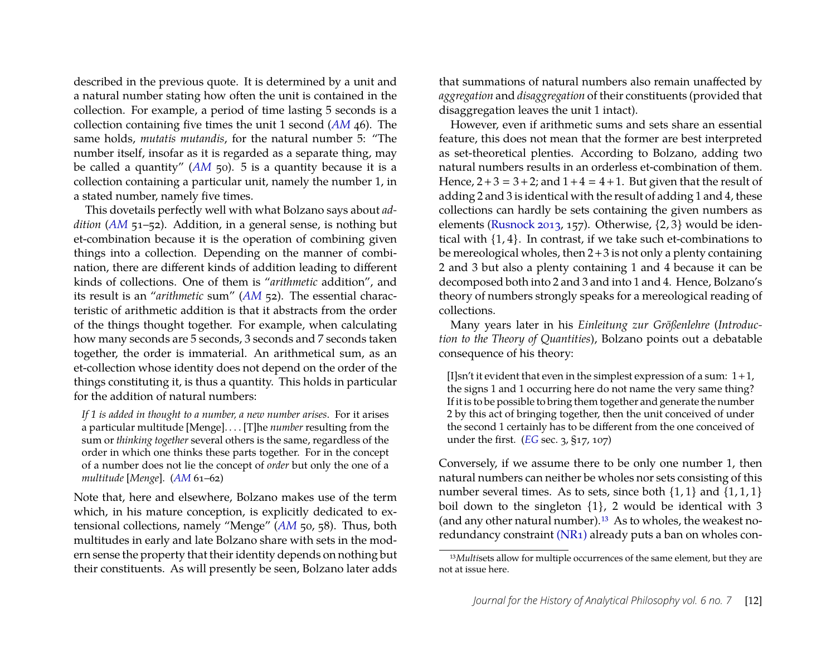described in the previous quote. It is determined by a unit and a natural number stating how often the unit is contained in the collection. For example, a period of time lasting 5 seconds is a collection containing five times the unit 1 second (*[AM](#page-22-1)* 46). The same holds, *mutatis mutandis*, for the natural number 5: "The number itself, insofar as it is regarded as a separate thing, may be called a quantity" (*[AM](#page-22-1)* 50). 5 is a quantity because it is a collection containing a particular unit, namely the number 1, in a stated number, namely five times.

This dovetails perfectly well with what Bolzano says about *addition* (*[AM](#page-22-1)* 51–52). Addition, in a general sense, is nothing but et-combination because it is the operation of combining given things into a collection. Depending on the manner of combination, there are different kinds of addition leading to different kinds of collections. One of them is "*arithmetic* addition", and its result is an "*arithmetic* sum" (*[AM](#page-22-1)* 52). The essential characteristic of arithmetic addition is that it abstracts from the order of the things thought together. For example, when calculating how many seconds are 5 seconds, 3 seconds and 7 seconds taken together, the order is immaterial. An arithmetical sum, as an et-collection whose identity does not depend on the order of the things constituting it, is thus a quantity. This holds in particular for the addition of natural numbers:

*If 1 is added in thought to a number, a new number arises*. For it arises a particular multitude [Menge]. . . . [T]he *number* resulting from the sum or *thinking together* several others is the same, regardless of the order in which one thinks these parts together. For in the concept of a number does not lie the concept of *order* but only the one of a *multitude* [*Menge*]. (*[AM](#page-22-1)* 61–62)

Note that, here and elsewhere, Bolzano makes use of the term which, in his mature conception, is explicitly dedicated to extensional collections, namely "Menge" (*[AM](#page-22-1)* 50, 58). Thus, both multitudes in early and late Bolzano share with sets in the modern sense the property that their identity depends on nothing but their constituents. As will presently be seen, Bolzano later adds that summations of natural numbers also remain unaffected by *aggregation* and *disaggregation* of their constituents (provided that disaggregation leaves the unit 1 intact).

However, even if arithmetic sums and sets share an essential feature, this does not mean that the former are best interpreted as set-theoretical plenties. According to Bolzano, adding two natural numbers results in an orderless et-combination of them. Hence,  $2+3 = 3+2$ ; and  $1+4 = 4+1$ . But given that the result of adding 2 and 3 is identical with the result of adding 1 and 4, these collections can hardly be sets containing the given numbers as elements [\(Rusnock](#page-24-13) [2013,](#page-24-13) 157). Otherwise, {2, 3} would be identical with {1, 4}. In contrast, if we take such et-combinations to be mereological wholes, then  $2+3$  is not only a plenty containing 2 and 3 but also a plenty containing 1 and 4 because it can be decomposed both into 2 and 3 and into 1 and 4. Hence, Bolzano's theory of numbers strongly speaks for a mereological reading of collections.

Many years later in his *Einleitung zur Größenlehre* (*Introduction to the Theory of Quantities*), Bolzano points out a debatable consequence of his theory:

[I]sn't it evident that even in the simplest expression of a sum:  $1+1$ , the signs 1 and 1 occurring here do not name the very same thing? If it is to be possible to bring them together and generate the number 2 by this act of bringing together, then the unit conceived of under the second 1 certainly has to be different from the one conceived of under the first. (*[EG](#page-22-6)* sec. 3, §17, 107)

Conversely, if we assume there to be only one number 1, then natural numbers can neither be wholes nor sets consisting of this number several times. As to sets, since both  $\{1, 1\}$  and  $\{1, 1, 1\}$ boil down to the singleton {1}, 2 would be identical with 3 (and any other natural number)[.13](#page-12-0) As to wholes, the weakest noredundancy constraint [\(NR1\)](#page-10-0) already puts a ban on wholes con-

<span id="page-12-0"></span><sup>&</sup>lt;sup>13</sup>*Multisets allow for multiple occurrences of the same element, but they are* not at issue here.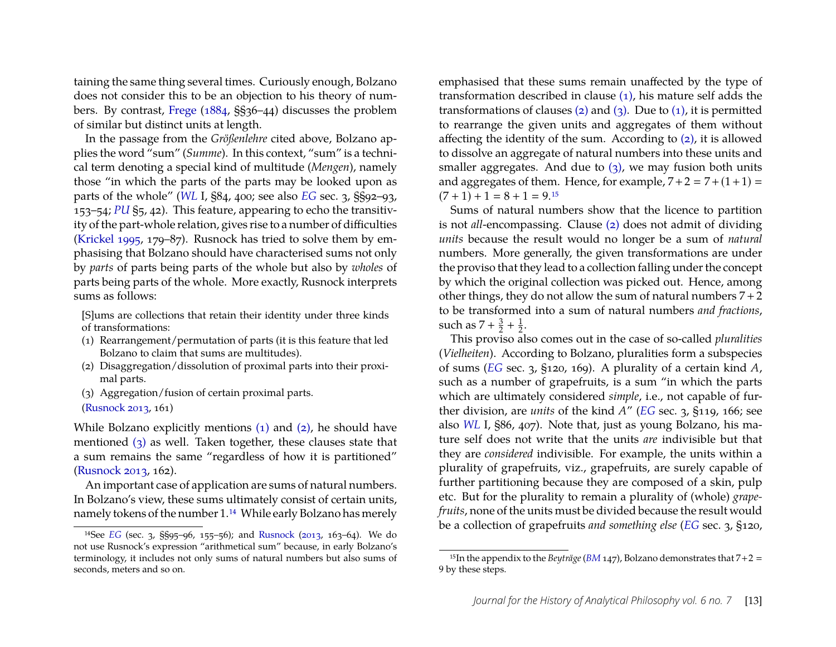taining the same thing several times. Curiously enough, Bolzano does not consider this to be an objection to his theory of numbers. By contrast, [Frege](#page-23-15) [\(1884,](#page-23-15) §§36–44) discusses the problem of similar but distinct units at length.

In the passage from the *Größenlehre* cited above, Bolzano applies the word "sum" (*Summe*). In this context, "sum" is a technical term denoting a special kind of multitude (*Mengen*), namely those "in which the parts of the parts may be looked upon as parts of the whole" (*[WL](#page-23-4)* I, §84, 400; see also *[EG](#page-22-6)* sec. 3, §§92–93, 153–54; *[PU](#page-23-5)* §5, 42). This feature, appearing to echo the transitivity of the part-whole relation, gives rise to a number of difficulties [\(Krickel](#page-24-5) [1995,](#page-24-5) 179–87). Rusnock has tried to solve them by emphasising that Bolzano should have characterised sums not only by *parts* of parts being parts of the whole but also by *wholes* of parts being parts of the whole. More exactly, Rusnock interprets sums as follows:

[S]ums are collections that retain their identity under three kinds of transformations:

- <span id="page-13-0"></span>(1) Rearrangement/permutation of parts (it is this feature that led Bolzano to claim that sums are multitudes).
- <span id="page-13-1"></span>(2) Disaggregation/dissolution of proximal parts into their proximal parts.
- <span id="page-13-2"></span>(3) Aggregation/fusion of certain proximal parts.
- [\(Rusnock](#page-24-13) [2013,](#page-24-13) 161)

While Bolzano explicitly mentions [\(1\)](#page-13-0) and [\(2\),](#page-13-1) he should have mentioned [\(3\)](#page-13-2) as well. Taken together, these clauses state that a sum remains the same "regardless of how it is partitioned" [\(Rusnock](#page-24-13) [2013,](#page-24-13) 162).

An important case of application are sums of natural numbers. In Bolzano's view, these sums ultimately consist of certain units, namely tokens of the number 1[.14](#page-13-3) While early Bolzano has merely

emphasised that these sums remain unaffected by the type of transformation described in clause [\(1\),](#page-13-0) his mature self adds the transformations of clauses  $(2)$  and  $(3)$ . Due to  $(1)$ , it is permitted to rearrange the given units and aggregates of them without affecting the identity of the sum. According to [\(2\),](#page-13-1) it is allowed to dissolve an aggregate of natural numbers into these units and smaller aggregates. And due to  $(3)$ , we may fusion both units and aggregates of them. Hence, for example,  $7+2 = 7+(1+1) =$  $(7 + 1) + 1 = 8 + 1 = 9.15$  $(7 + 1) + 1 = 8 + 1 = 9.15$ 

Sums of natural numbers show that the licence to partition is not *all*-encompassing. Clause [\(2\)](#page-13-1) does not admit of dividing *units* because the result would no longer be a sum of *natural* numbers. More generally, the given transformations are under the proviso that they lead to a collection falling under the concept by which the original collection was picked out. Hence, among other things, they do not allow the sum of natural numbers  $7+2$ to be transformed into a sum of natural numbers *and fractions*, such as  $7+\frac{3}{2}$  $\frac{3}{2} + \frac{1}{2}$  $\frac{1}{2}$ .

This proviso also comes out in the case of so-called *pluralities* (*Vielheiten*). According to Bolzano, pluralities form a subspecies of sums (*[EG](#page-22-6)* sec. 3, §120, 169). A plurality of a certain kind *A*, such as a number of grapefruits, is a sum "in which the parts which are ultimately considered *simple*, i.e., not capable of further division, are *units* of the kind *A*" (*[EG](#page-22-6)* sec. 3, §119, 166; see also *[WL](#page-23-4)* I, §86, 407). Note that, just as young Bolzano, his mature self does not write that the units *are* indivisible but that they are *considered* indivisible. For example, the units within a plurality of grapefruits, viz., grapefruits, are surely capable of further partitioning because they are composed of a skin, pulp etc. But for the plurality to remain a plurality of (whole) *grapefruits*, none of the units must be divided because the result would be a collection of grapefruits *and something else* (*[EG](#page-22-6)* sec. 3, §120,

<span id="page-13-3"></span><sup>14</sup>See *[EG](#page-22-6)* (sec. 3, §§95–96, 155–56); and [Rusnock](#page-24-13) [\(2013,](#page-24-13) 163–64). We do not use Rusnock's expression "arithmetical sum" because, in early Bolzano's terminology, it includes not only sums of natural numbers but also sums of seconds, meters and so on.

<span id="page-13-4"></span><sup>&</sup>lt;sup>15</sup>In the appendix to the *Beyträge* (*[BM](#page-22-2)* 147), Bolzano demonstrates that  $7+2=$ 9 by these steps.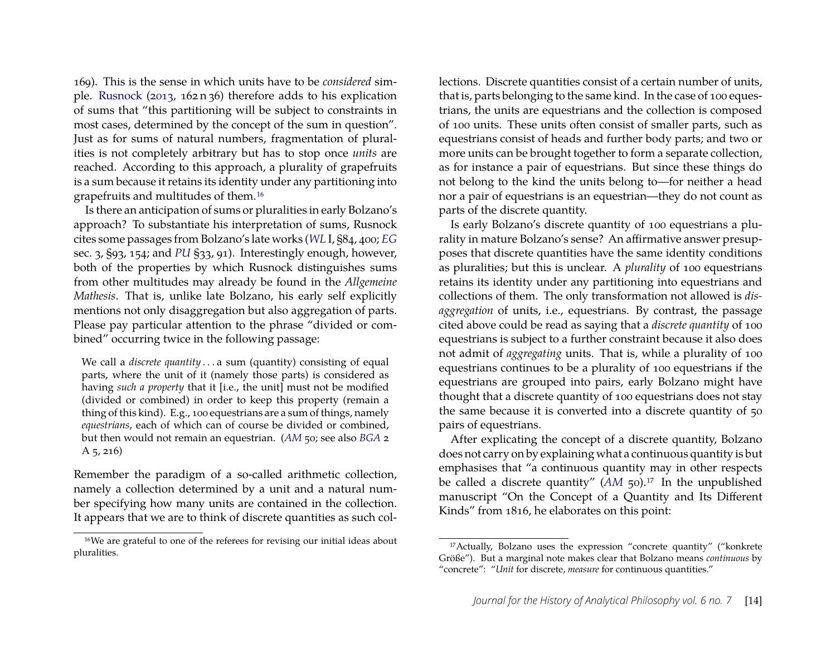169). This is the sense in which units have to be *considered* simple. [Rusnock](#page-24-13) [\(2013,](#page-24-13) 162 n 36) therefore adds to his explication of sums that "this partitioning will be subject to constraints in most cases, determined by the concept of the sum in question". Just as for sums of natural numbers, fragmentation of pluralities is not completely arbitrary but has to stop once *units* are reached. According to this approach, a plurality of grapefruits is a sum because it retains its identity under any partitioning into grapefruits and multitudes of them[.16](#page-14-0)

Is there an anticipation of sums or pluralities in early Bolzano's approach? To substantiate his interpretation of sums, Rusnock cites some passages from Bolzano's late works (*[WL](#page-23-4)* I, §84, 400; *[EG](#page-22-6)* sec. 3, §93, 154; and *[PU](#page-23-5)* §33, 91). Interestingly enough, however, both of the properties by which Rusnock distinguishes sums from other multitudes may already be found in the *Allgemeine Mathesis*. That is, unlike late Bolzano, his early self explicitly mentions not only disaggregation but also aggregation of parts. Please pay particular attention to the phrase "divided or combined" occurring twice in the following passage:

We call a *discrete quantity* . . . a sum (quantity) consisting of equal parts, where the unit of it (namely those parts) is considered as having *such a property* that it [i.e., the unit] must not be modified (divided or combined) in order to keep this property (remain a thing of this kind). E.g., 100 equestrians are a sum of things, namely *equestrians*, each of which can of course be divided or combined, but then would not remain an equestrian. (*[AM](#page-22-1)* 50; see also *[BGA](#page-23-0)* 2 A 5, 216)

Remember the paradigm of a so-called arithmetic collection, namely a collection determined by a unit and a natural number specifying how many units are contained in the collection. It appears that we are to think of discrete quantities as such col-

lections. Discrete quantities consist of a certain number of units, that is, parts belonging to the same kind. In the case of 100 equestrians, the units are equestrians and the collection is composed of 100 units. These units often consist of smaller parts, such as equestrians consist of heads and further body parts; and two or more units can be brought together to form a separate collection, as for instance a pair of equestrians. But since these things do not belong to the kind the units belong to—for neither a head nor a pair of equestrians is an equestrian—they do not count as parts of the discrete quantity.

Is early Bolzano's discrete quantity of 100 equestrians a plurality in mature Bolzano's sense? An affirmative answer presupposes that discrete quantities have the same identity conditions as pluralities; but this is unclear. A *plurality* of 100 equestrians retains its identity under any partitioning into equestrians and collections of them. The only transformation not allowed is *disaggregation* of units, i.e., equestrians. By contrast, the passage cited above could be read as saying that a *discrete quantity* of 100 equestrians is subject to a further constraint because it also does not admit of *aggregating* units. That is, while a plurality of 100 equestrians continues to be a plurality of 100 equestrians if the equestrians are grouped into pairs, early Bolzano might have thought that a discrete quantity of 100 equestrians does not stay the same because it is converted into a discrete quantity of 50 pairs of equestrians.

After explicating the concept of a discrete quantity, Bolzano does not carry on by explaining what a continuous quantity is but emphasises that "a continuous quantity may in other respects be called a discrete quantity" ([AM](#page-22-1) 50).<sup>17</sup> In the unpublished manuscript "On the Concept of a Quantity and Its Different Kinds" from 1816, he elaborates on this point:

<span id="page-14-0"></span><sup>16</sup>We are grateful to one of the referees for revising our initial ideas about pluralities.

<span id="page-14-1"></span><sup>17</sup>Actually, Bolzano uses the expression "concrete quantity" ("konkrete Größe"). But a marginal note makes clear that Bolzano means *continuous* by "concrete": "*Unit* for discrete, *measure* for continuous quantities."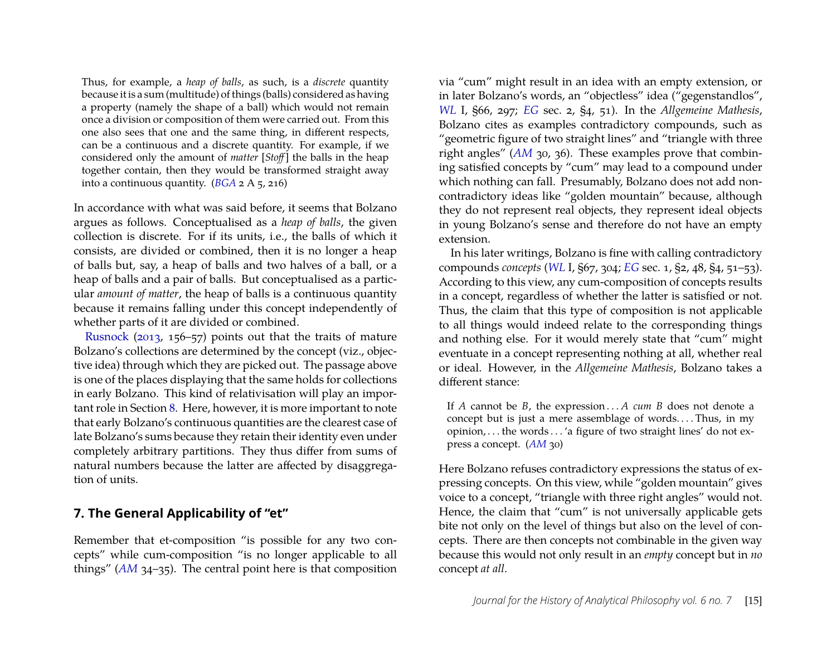Thus, for example, a *heap of balls*, as such, is a *discrete* quantity because it is a sum (multitude) of things (balls) considered as having a property (namely the shape of a ball) which would not remain once a division or composition of them were carried out. From this one also sees that one and the same thing, in different respects, can be a continuous and a discrete quantity. For example, if we considered only the amount of *matter* [*Stoff* ] the balls in the heap together contain, then they would be transformed straight away into a continuous quantity.  $(BGA \, 2 \, A \, 5, 216)$  $(BGA \, 2 \, A \, 5, 216)$  $(BGA \, 2 \, A \, 5, 216)$ 

In accordance with what was said before, it seems that Bolzano argues as follows. Conceptualised as a *heap of balls*, the given collection is discrete. For if its units, i.e., the balls of which it consists, are divided or combined, then it is no longer a heap of balls but, say, a heap of balls and two halves of a ball, or a heap of balls and a pair of balls. But conceptualised as a particular *amount of matter*, the heap of balls is a continuous quantity because it remains falling under this concept independently of whether parts of it are divided or combined.

[Rusnock](#page-24-13) [\(2013,](#page-24-13) 156–57) points out that the traits of mature Bolzano's collections are determined by the concept (viz., objective idea) through which they are picked out. The passage above is one of the places displaying that the same holds for collections in early Bolzano. This kind of relativisation will play an important role in Section [8.](#page-16-0) Here, however, it is more important to note that early Bolzano's continuous quantities are the clearest case of late Bolzano's sums because they retain their identity even under completely arbitrary partitions. They thus differ from sums of natural numbers because the latter are affected by disaggregation of units.

#### <span id="page-15-0"></span>**7. The General Applicability of "et"**

Remember that et-composition "is possible for any two concepts" while cum-composition "is no longer applicable to all things" (*[AM](#page-22-1)* 34–35). The central point here is that composition via "cum" might result in an idea with an empty extension, or in later Bolzano's words, an "objectless" idea ("gegenstandlos", *[WL](#page-23-4)* I, §66, 297; *[EG](#page-22-6)* sec. 2, §4, 51). In the *Allgemeine Mathesis*, Bolzano cites as examples contradictory compounds, such as "geometric figure of two straight lines" and "triangle with three right angles" (*[AM](#page-22-1)* 30, 36). These examples prove that combining satisfied concepts by "cum" may lead to a compound under which nothing can fall. Presumably, Bolzano does not add noncontradictory ideas like "golden mountain" because, although they do not represent real objects, they represent ideal objects in young Bolzano's sense and therefore do not have an empty extension.

In his later writings, Bolzano is fine with calling contradictory compounds *concepts* (*[WL](#page-23-4)* I, §67, 304; *[EG](#page-22-6)* sec. 1, §2, 48, §4, 51–53). According to this view, any cum-composition of concepts results in a concept, regardless of whether the latter is satisfied or not. Thus, the claim that this type of composition is not applicable to all things would indeed relate to the corresponding things and nothing else. For it would merely state that "cum" might eventuate in a concept representing nothing at all, whether real or ideal. However, in the *Allgemeine Mathesis*, Bolzano takes a different stance:

If *A* cannot be *B*, the expression . . . *A cum B* does not denote a concept but is just a mere assemblage of words. . . . Thus, in my opinion, . . . the words . . . 'a figure of two straight lines' do not express a concept. (*[AM](#page-22-1)* 30)

Here Bolzano refuses contradictory expressions the status of expressing concepts. On this view, while "golden mountain" gives voice to a concept, "triangle with three right angles" would not. Hence, the claim that "cum" is not universally applicable gets bite not only on the level of things but also on the level of concepts. There are then concepts not combinable in the given way because this would not only result in an *empty* concept but in *no* concept *at all*.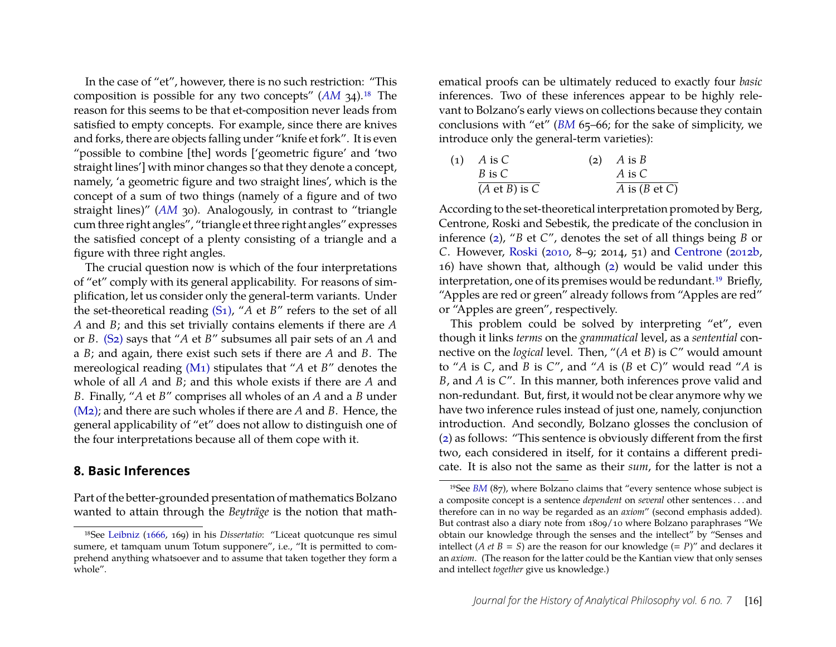In the case of "et", however, there is no such restriction: "This composition is possible for any two concepts" (*[AM](#page-22-1)* 34)[.18](#page-16-1) The reason for this seems to be that et-composition never leads from satisfied to empty concepts. For example, since there are knives and forks, there are objects falling under "knife et fork". It is even "possible to combine [the] words ['geometric figure' and 'two straight lines'] with minor changes so that they denote a concept, namely, 'a geometric figure and two straight lines', which is the concept of a sum of two things (namely of a figure and of two straight lines)" (*[AM](#page-22-1)* 30). Analogously, in contrast to "triangle cum three right angles", "triangle et three right angles" expresses the satisfied concept of a plenty consisting of a triangle and a figure with three right angles.

The crucial question now is which of the four interpretations of "et" comply with its general applicability. For reasons of simplification, let us consider only the general-term variants. Under the set-theoretical reading [\(S1\),](#page-6-0) "*A* et *B*" refers to the set of all *A* and *B*; and this set trivially contains elements if there are *A* or *B*. [\(S2\)](#page-6-1) says that "*A* et *B*" subsumes all pair sets of an *A* and a *B*; and again, there exist such sets if there are *A* and *B*. The mereological reading [\(M1\)](#page-6-2) stipulates that "*A* et *B*" denotes the whole of all *A* and *B*; and this whole exists if there are *A* and *B*. Finally, "*A* et *B*" comprises all wholes of an *A* and a *B* under [\(M2\);](#page-6-3) and there are such wholes if there are *A* and *B*. Hence, the general applicability of "et" does not allow to distinguish one of the four interpretations because all of them cope with it.

#### <span id="page-16-0"></span>**8. Basic Inferences**

Part of the better-grounded presentation of mathematics Bolzano wanted to attain through the *Beyträge* is the notion that math-

ematical proofs can be ultimately reduced to exactly four *basic* inferences. Two of these inferences appear to be highly relevant to Bolzano's early views on collections because they contain conclusions with "et" (*[BM](#page-22-2)* 65–66; for the sake of simplicity, we introduce only the general-term varieties):

<span id="page-16-4"></span><span id="page-16-2"></span>

| (1) | A is C                   | $(2)$ A is B             |
|-----|--------------------------|--------------------------|
|     | B is C                   | A is C                   |
|     | $(A \text{ et } B)$ is C | A is $(B \text{ et } C)$ |

According to the set-theoretical interpretation promoted by Berg, Centrone, Roski and Sebestik, the predicate of the conclusion in inference [\(2\)](#page-16-2), "*B* et *C*", denotes the set of all things being *B* or *C*. However, [Roski](#page-24-14) [\(2010,](#page-24-14) 8–9; 2014, 51) and [Centrone](#page-23-8) [\(2012b,](#page-23-8) 16) have shown that, although [\(2\)](#page-16-2) would be valid under this interpretation, one of its premises would be redundant.<sup>19</sup> Briefly, "Apples are red or green" already follows from "Apples are red" or "Apples are green", respectively.

This problem could be solved by interpreting "et", even though it links *terms* on the *grammatical* level, as a *sentential* connective on the *logical* level. Then, "(*A* et *B*) is *C*" would amount to "*A* is *C*, and *B* is *C*", and "*A* is (*B* et *C*)" would read "*A* is *B*, and *A* is *C*". In this manner, both inferences prove valid and non-redundant. But, first, it would not be clear anymore why we have two inference rules instead of just one, namely, conjunction introduction. And secondly, Bolzano glosses the conclusion of [\(2\)](#page-16-2) as follows: "This sentence is obviously different from the first two, each considered in itself, for it contains a different predicate. It is also not the same as their *sum*, for the latter is not a

<span id="page-16-1"></span><sup>18</sup>See [Leibniz](#page-24-16) [\(1666,](#page-24-16) 169) in his *Dissertatio*: "Liceat quotcunque res simul sumere, et tamquam unum Totum supponere", i.e., "It is permitted to comprehend anything whatsoever and to assume that taken together they form a whole".

<span id="page-16-3"></span><sup>19</sup>See *[BM](#page-22-2)* (87), where Bolzano claims that "every sentence whose subject is a composite concept is a sentence *dependent* on *several* other sentences . . . and therefore can in no way be regarded as an *axiom*" (second emphasis added). But contrast also a diary note from 1809/10 where Bolzano paraphrases "We obtain our knowledge through the senses and the intellect" by "Senses and intellect (*A et B* = *S*) are the reason for our knowledge (=  $P$ )" and declares it an *axiom*. (The reason for the latter could be the Kantian view that only senses and intellect *together* give us knowledge.)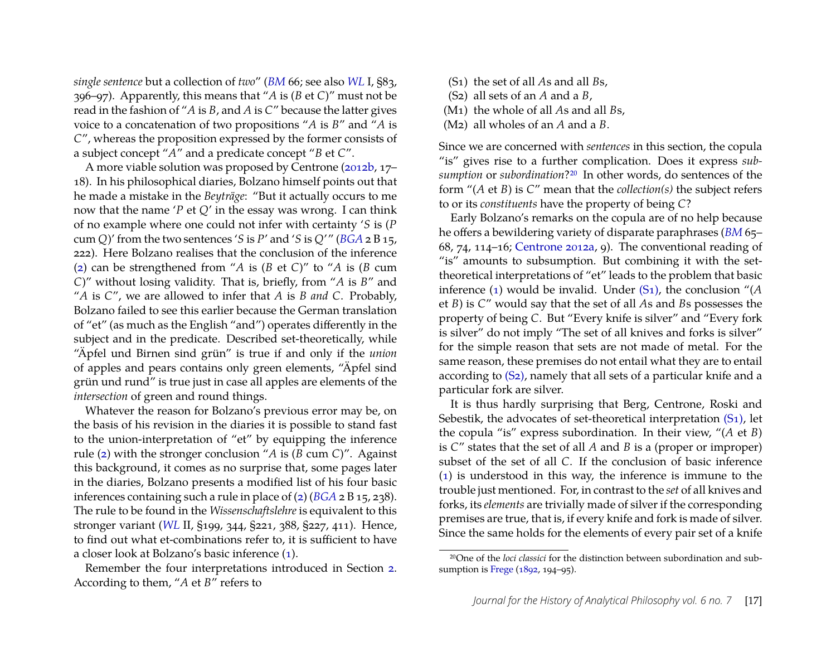*single sentence* but a collection of *two*" (*[BM](#page-22-2)* 66; see also *[WL](#page-23-4)* I, §83, 396–97). Apparently, this means that "*A* is (*B* et *C*)" must not be read in the fashion of "*A* is *B*, and *A* is *C*" because the latter gives voice to a concatenation of two propositions "*A* is *B*" and "*A* is *C*", whereas the proposition expressed by the former consists of a subject concept "*A*" and a predicate concept "*B* et *C*".

A more viable solution was proposed by Centrone [\(2012b,](#page-23-8) 17– 18). In his philosophical diaries, Bolzano himself points out that he made a mistake in the *Beyträge*: "But it actually occurs to me now that the name '*P* et *Q*' in the essay was wrong. I can think of no example where one could not infer with certainty '*S* is (*P* cum *Q*)' from the two sentences '*S* is *P*' and '*S* is *Q*'" (*[BGA](#page-23-0)* 2 B 15, 222). Here Bolzano realises that the conclusion of the inference [\(2\)](#page-16-2) can be strengthened from "*A* is (*B* et *C*)" to "*A* is (*B* cum *C*)" without losing validity. That is, briefly, from "*A* is *B*" and "*A* is *C*", we are allowed to infer that *A* is *B and C*. Probably, Bolzano failed to see this earlier because the German translation of "et" (as much as the English "and") operates differently in the subject and in the predicate. Described set-theoretically, while "Äpfel und Birnen sind grün" is true if and only if the *union* of apples and pears contains only green elements, "Äpfel sind grün und rund" is true just in case all apples are elements of the *intersection* of green and round things.

Whatever the reason for Bolzano's previous error may be, on the basis of his revision in the diaries it is possible to stand fast to the union-interpretation of "et" by equipping the inference rule [\(2\)](#page-16-2) with the stronger conclusion "*A* is (*B* cum *C*)". Against this background, it comes as no surprise that, some pages later in the diaries, Bolzano presents a modified list of his four basic inferences containing such a rule in place of [\(2\)](#page-16-2) (*[BGA](#page-23-0)* 2 B 15, 238). The rule to be found in the *Wissenschaftslehre* is equivalent to this stronger variant (*[WL](#page-23-4)* II, §199, 344, §221, 388, §227, 411). Hence, to find out what et-combinations refer to, it is sufficient to have a closer look at Bolzano's basic inference [\(1\)](#page-16-4).

Remember the four interpretations introduced in Section [2.](#page-4-0) According to them, "*A* et *B*" refers to

- (S1) the set of all *A*s and all *B*s,
- (S2) all sets of an *A* and a *B*,
- (M1) the whole of all *A*s and all *B*s,
- (M2) all wholes of an *A* and a *B*.

Since we are concerned with *sentences* in this section, the copula "is" gives rise to a further complication. Does it express *subsumption* or *subordination*[?20](#page-17-0) In other words, do sentences of the form "(*A* et *B*) is *C*" mean that the *collection(s)* the subject refers to or its *constituents* have the property of being *C*?

Early Bolzano's remarks on the copula are of no help because he offers a bewildering variety of disparate paraphrases (*[BM](#page-22-2)* 65– 68, 74, 114–16; [Centrone](#page-23-9) [2012a,](#page-23-9) 9). The conventional reading of "is" amounts to subsumption. But combining it with the settheoretical interpretations of "et" leads to the problem that basic inference [\(1\)](#page-16-4) would be invalid. Under [\(S1\),](#page-6-0) the conclusion "(*A* et *B*) is *C*" would say that the set of all *A*s and *B*s possesses the property of being *C*. But "Every knife is silver" and "Every fork is silver" do not imply "The set of all knives and forks is silver" for the simple reason that sets are not made of metal. For the same reason, these premises do not entail what they are to entail according to [\(S2\),](#page-6-1) namely that all sets of a particular knife and a particular fork are silver.

It is thus hardly surprising that Berg, Centrone, Roski and Sebestik, the advocates of set-theoretical interpretation [\(S1\),](#page-6-0) let the copula "is" express subordination. In their view, "(*A* et *B*) is *C*" states that the set of all *A* and *B* is a (proper or improper) subset of the set of all *C*. If the conclusion of basic inference [\(1\)](#page-16-4) is understood in this way, the inference is immune to the trouble just mentioned. For, in contrast to the *set* of all knives and forks, its *elements* are trivially made of silver if the corresponding premises are true, that is, if every knife and fork is made of silver. Since the same holds for the elements of every pair set of a knife

<span id="page-17-0"></span><sup>20</sup>One of the *loci classici* for the distinction between subordination and subsumption is [Frege](#page-23-16) [\(1892,](#page-23-16) 194–95).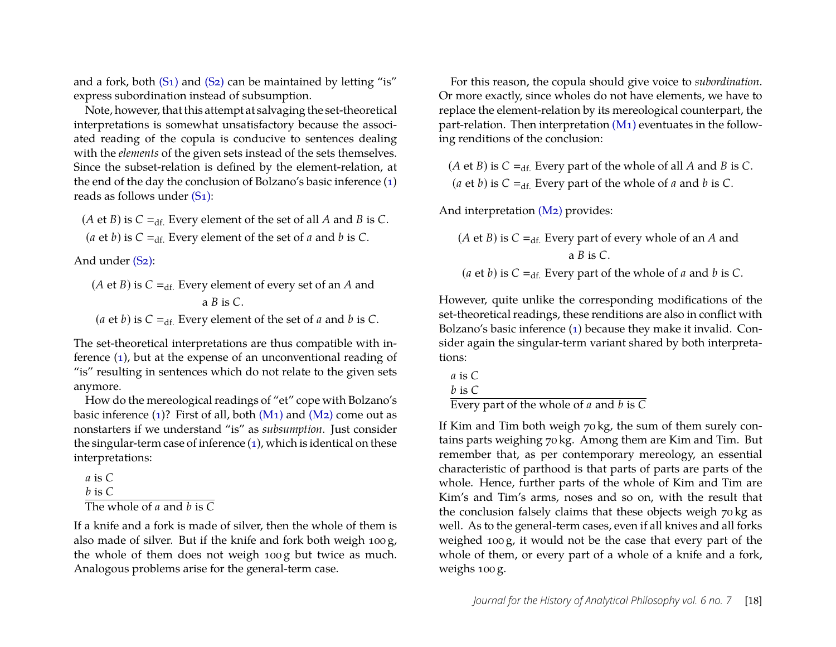and a fork, both  $(S_1)$  and  $(S_2)$  can be maintained by letting "is" express subordination instead of subsumption.

Note, however, that this attempt at salvaging the set-theoretical interpretations is somewhat unsatisfactory because the associated reading of the copula is conducive to sentences dealing with the *elements* of the given sets instead of the sets themselves. Since the subset-relation is defined by the element-relation, at the end of the day the conclusion of Bolzano's basic inference [\(1\)](#page-16-4) reads as follows under [\(S1\):](#page-6-0)

(*A* et *B*) is  $C =_{df}$ . Every element of the set of all *A* and *B* is *C*. (*a* et *b*) is  $C =_{df}$ . Every element of the set of *a* and *b* is *C*.

And under (S<sub>2</sub>):

- (*A* et *B*) is  $C =_{df}$ . Every element of every set of an *A* and a *B* is *C*.
- (*a* et *b*) is  $C =_{df}$ . Every element of the set of *a* and *b* is *C*.

The set-theoretical interpretations are thus compatible with inference [\(1\)](#page-16-4), but at the expense of an unconventional reading of "is" resulting in sentences which do not relate to the given sets anymore.

How do the mereological readings of "et" cope with Bolzano's basic inference  $(1)$ ? First of all, both  $(M_1)$  and  $(M_2)$  come out as nonstarters if we understand "is" as *subsumption*. Just consider the singular-term case of inference  $(1)$ , which is identical on these interpretations:

```
a is C
b is C
The whole of a and b is C
```
If a knife and a fork is made of silver, then the whole of them is also made of silver. But if the knife and fork both weigh 100 g, the whole of them does not weigh 100 g but twice as much. Analogous problems arise for the general-term case.

For this reason, the copula should give voice to *subordination*. Or more exactly, since wholes do not have elements, we have to replace the element-relation by its mereological counterpart, the part-relation. Then interpretation [\(M1\)](#page-6-2) eventuates in the following renditions of the conclusion:

(*A* et *B*) is  $C =_{df}$ . Every part of the whole of all *A* and *B* is *C*. (*a* et *b*) is  $C =_{df}$ . Every part of the whole of *a* and *b* is *C*.

And interpretation [\(M2\)](#page-6-3) provides:

(*A* et *B*) is  $C =_{df}$ . Every part of every whole of an *A* and a *B* is *C*. (*a* et *b*) is  $C =_{df}$ . Every part of the whole of *a* and *b* is *C*.

However, quite unlike the corresponding modifications of the set-theoretical readings, these renditions are also in conflict with Bolzano's basic inference [\(1\)](#page-16-4) because they make it invalid. Consider again the singular-term variant shared by both interpretations:

```
a is C
```
*b* is *C*

Every part of the whole of *a* and *b* is *C*

If Kim and Tim both weigh 70 kg, the sum of them surely contains parts weighing 70 kg. Among them are Kim and Tim. But remember that, as per contemporary mereology, an essential characteristic of parthood is that parts of parts are parts of the whole. Hence, further parts of the whole of Kim and Tim are Kim's and Tim's arms, noses and so on, with the result that the conclusion falsely claims that these objects weigh 70 kg as well. As to the general-term cases, even if all knives and all forks weighed 100 g, it would not be the case that every part of the whole of them, or every part of a whole of a knife and a fork, weighs 100 g.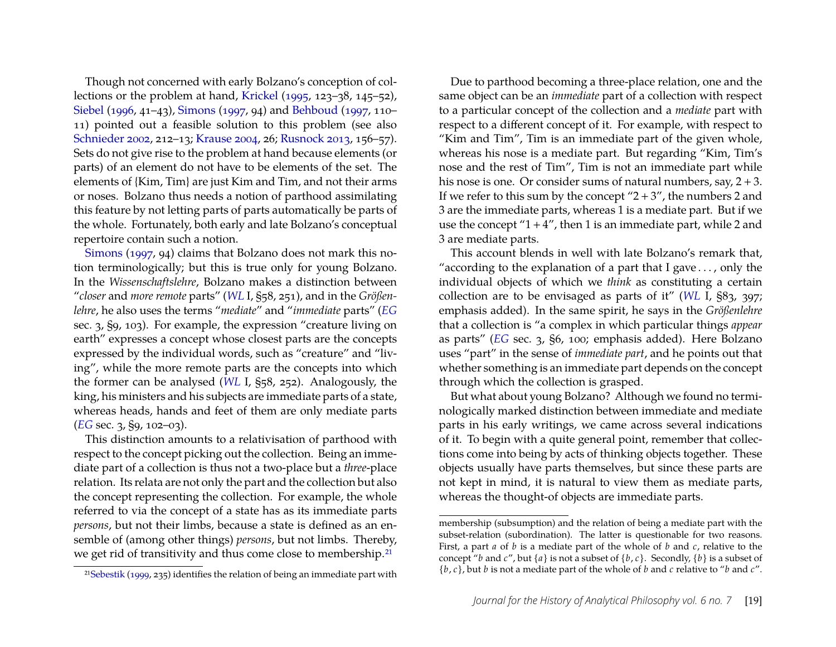Though not concerned with early Bolzano's conception of collections or the problem at hand, [Krickel](#page-24-5) [\(1995,](#page-24-5) 123–38, 145–52), [Siebel](#page-24-12) [\(1996,](#page-24-12) 41–43), [Simons](#page-24-9) [\(1997,](#page-24-9) 94) and [Behboud](#page-22-4) [\(1997,](#page-22-4) 110– 11) pointed out a feasible solution to this problem (see also [Schnieder](#page-24-2) [2002,](#page-24-2) 212–13; [Krause](#page-24-11) [2004,](#page-24-11) 26; [Rusnock](#page-24-13) [2013,](#page-24-13) 156–57). Sets do not give rise to the problem at hand because elements (or parts) of an element do not have to be elements of the set. The elements of {Kim, Tim} are just Kim and Tim, and not their arms or noses. Bolzano thus needs a notion of parthood assimilating this feature by not letting parts of parts automatically be parts of the whole. Fortunately, both early and late Bolzano's conceptual repertoire contain such a notion.

[Simons](#page-24-9) [\(1997,](#page-24-9) 94) claims that Bolzano does not mark this notion terminologically; but this is true only for young Bolzano. In the *Wissenschaftslehre*, Bolzano makes a distinction between "*closer* and *more remote* parts" (*[WL](#page-23-4)* I, §58, 251), and in the *Größenlehre*, he also uses the terms "*mediate*" and "*immediate* parts" (*[EG](#page-22-6)* sec. 3, §9, 103). For example, the expression "creature living on earth" expresses a concept whose closest parts are the concepts expressed by the individual words, such as "creature" and "living", while the more remote parts are the concepts into which the former can be analysed (*[WL](#page-23-4)* I, §58, 252). Analogously, the king, his ministers and his subjects are immediate parts of a state, whereas heads, hands and feet of them are only mediate parts (*[EG](#page-22-6)* sec. 3, §9, 102–03).

This distinction amounts to a relativisation of parthood with respect to the concept picking out the collection. Being an immediate part of a collection is thus not a two-place but a *three*-place relation. Its relata are not only the part and the collection but also the concept representing the collection. For example, the whole referred to via the concept of a state has as its immediate parts *persons*, but not their limbs, because a state is defined as an ensemble of (among other things) *persons*, but not limbs. Thereby, we get rid of transitivity and thus come close to membership[.21](#page-19-0)

<span id="page-19-0"></span>2[1Sebestik](#page-24-17) [\(1999,](#page-24-17) 235) identifies the relation of being an immediate part with

Due to parthood becoming a three-place relation, one and the same object can be an *immediate* part of a collection with respect to a particular concept of the collection and a *mediate* part with respect to a different concept of it. For example, with respect to "Kim and Tim", Tim is an immediate part of the given whole, whereas his nose is a mediate part. But regarding "Kim, Tim's nose and the rest of Tim", Tim is not an immediate part while his nose is one. Or consider sums of natural numbers, say, 2 + 3. If we refer to this sum by the concept " $2 + 3$ ", the numbers 2 and 3 are the immediate parts, whereas 1 is a mediate part. But if we use the concept " $1 + 4$ ", then 1 is an immediate part, while 2 and 3 are mediate parts.

This account blends in well with late Bolzano's remark that, "according to the explanation of a part that I gave  $\dots$ , only the individual objects of which we *think* as constituting a certain collection are to be envisaged as parts of it" (*[WL](#page-23-4)* I, §83, 397; emphasis added). In the same spirit, he says in the *Größenlehre* that a collection is "a complex in which particular things *appear* as parts" (*[EG](#page-22-6)* sec. 3, §6, 100; emphasis added). Here Bolzano uses "part" in the sense of *immediate part*, and he points out that whether something is an immediate part depends on the concept through which the collection is grasped.

But what about young Bolzano? Although we found no terminologically marked distinction between immediate and mediate parts in his early writings, we came across several indications of it. To begin with a quite general point, remember that collections come into being by acts of thinking objects together. These objects usually have parts themselves, but since these parts are not kept in mind, it is natural to view them as mediate parts, whereas the thought-of objects are immediate parts.

membership (subsumption) and the relation of being a mediate part with the subset-relation (subordination). The latter is questionable for two reasons. First, a part *a* of *b* is a mediate part of the whole of *b* and *c*, relative to the concept "*b* and  $c$ ", but  $\{a\}$  is not a subset of  $\{b, c\}$ . Secondly,  $\{b\}$  is a subset of {*b*, *c*}, but *b* is not a mediate part of the whole of *b* and *c* relative to "*b* and *c*".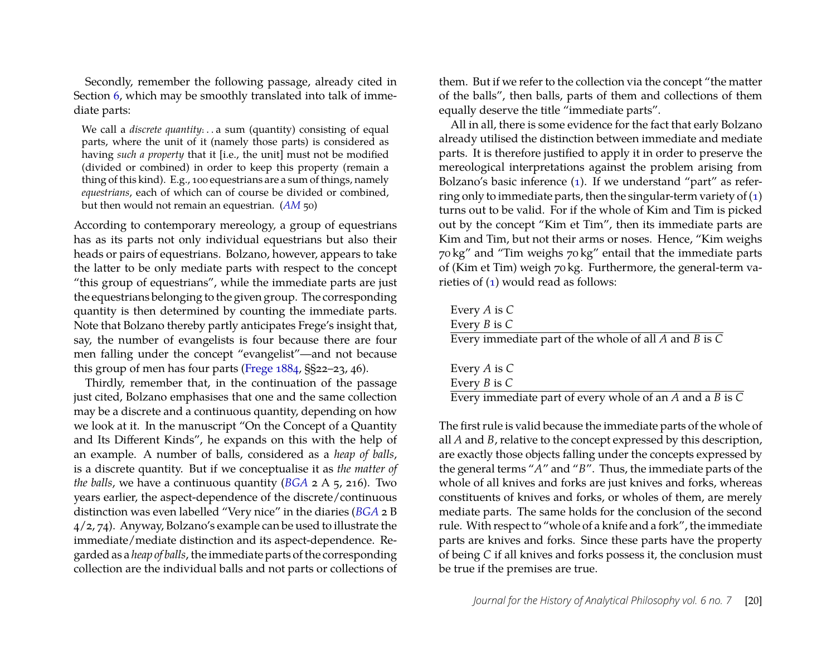Secondly, remember the following passage, already cited in Section [6,](#page-11-0) which may be smoothly translated into talk of immediate parts:

We call a *discrete quantity*:..a sum (quantity) consisting of equal parts, where the unit of it (namely those parts) is considered as having *such a property* that it [i.e., the unit] must not be modified (divided or combined) in order to keep this property (remain a thing of this kind). E.g., 100 equestrians are a sum of things, namely *equestrians*, each of which can of course be divided or combined, but then would not remain an equestrian. (*[AM](#page-22-1)* 50)

According to contemporary mereology, a group of equestrians has as its parts not only individual equestrians but also their heads or pairs of equestrians. Bolzano, however, appears to take the latter to be only mediate parts with respect to the concept "this group of equestrians", while the immediate parts are just the equestrians belonging to the given group. The corresponding quantity is then determined by counting the immediate parts. Note that Bolzano thereby partly anticipates Frege's insight that, say, the number of evangelists is four because there are four men falling under the concept "evangelist"—and not because this group of men has four parts [\(Frege](#page-23-15) [1884,](#page-23-15) §§22–23, 46).

Thirdly, remember that, in the continuation of the passage just cited, Bolzano emphasises that one and the same collection may be a discrete and a continuous quantity, depending on how we look at it. In the manuscript "On the Concept of a Quantity and Its Different Kinds", he expands on this with the help of an example. A number of balls, considered as a *heap of balls*, is a discrete quantity. But if we conceptualise it as *the matter of the balls*, we have a continuous quantity (*[BGA](#page-23-0)* 2 A 5, 216). Two years earlier, the aspect-dependence of the discrete/continuous distinction was even labelled "Very nice" in the diaries (*[BGA](#page-23-0)* 2 B 4/2, 74). Anyway, Bolzano's example can be used to illustrate the immediate/mediate distinction and its aspect-dependence. Regarded as a *heap of balls*, the immediate parts of the corresponding collection are the individual balls and not parts or collections of

them. But if we refer to the collection via the concept "the matter of the balls", then balls, parts of them and collections of them equally deserve the title "immediate parts".

All in all, there is some evidence for the fact that early Bolzano already utilised the distinction between immediate and mediate parts. It is therefore justified to apply it in order to preserve the mereological interpretations against the problem arising from Bolzano's basic inference [\(1\)](#page-16-4). If we understand "part" as referring only to immediate parts, then the singular-term variety of  $(1)$ turns out to be valid. For if the whole of Kim and Tim is picked out by the concept "Kim et Tim", then its immediate parts are Kim and Tim, but not their arms or noses. Hence, "Kim weighs 70 kg" and "Tim weighs 70 kg" entail that the immediate parts of (Kim et Tim) weigh 70 kg. Furthermore, the general-term varieties of [\(1\)](#page-16-4) would read as follows:

Every *A* is *C* Every *B* is *C* Every immediate part of the whole of all *A* and *B* is *C*

| Every A is $C$                                           |  |
|----------------------------------------------------------|--|
| Every $B$ is $C$                                         |  |
| Every immediate part of every whole of an A and a B is C |  |

The first rule is valid because the immediate parts of the whole of all *A* and *B*, relative to the concept expressed by this description, are exactly those objects falling under the concepts expressed by the general terms "*A*" and "*B*". Thus, the immediate parts of the whole of all knives and forks are just knives and forks, whereas constituents of knives and forks, or wholes of them, are merely mediate parts. The same holds for the conclusion of the second rule. With respect to "whole of a knife and a fork", the immediate parts are knives and forks. Since these parts have the property of being *C* if all knives and forks possess it, the conclusion must be true if the premises are true.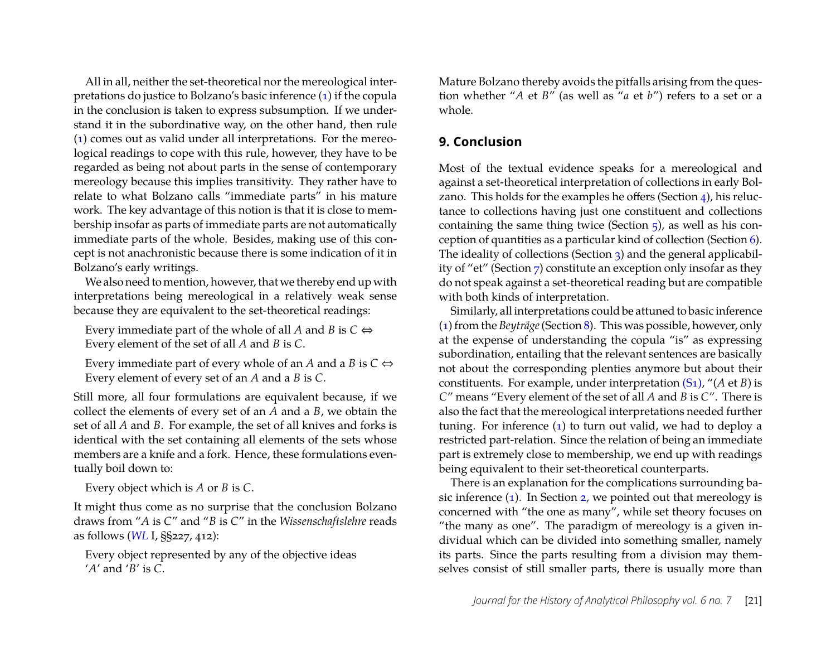All in all, neither the set-theoretical nor the mereological interpretations do justice to Bolzano's basic inference [\(1\)](#page-16-4) if the copula in the conclusion is taken to express subsumption. If we understand it in the subordinative way, on the other hand, then rule [\(1\)](#page-16-4) comes out as valid under all interpretations. For the mereological readings to cope with this rule, however, they have to be regarded as being not about parts in the sense of contemporary mereology because this implies transitivity. They rather have to relate to what Bolzano calls "immediate parts" in his mature work. The key advantage of this notion is that it is close to membership insofar as parts of immediate parts are not automatically immediate parts of the whole. Besides, making use of this concept is not anachronistic because there is some indication of it in Bolzano's early writings.

We also need to mention, however, that we thereby end up with interpretations being mereological in a relatively weak sense because they are equivalent to the set-theoretical readings:

Every immediate part of the whole of all *A* and *B* is  $C \Leftrightarrow$ Every element of the set of all *A* and *B* is *C*.

Every immediate part of every whole of an *A* and a *B* is  $C \Leftrightarrow$ Every element of every set of an *A* and a *B* is *C*.

Still more, all four formulations are equivalent because, if we collect the elements of every set of an *A* and a *B*, we obtain the set of all *A* and *B*. For example, the set of all knives and forks is identical with the set containing all elements of the sets whose members are a knife and a fork. Hence, these formulations eventually boil down to:

Every object which is *A* or *B* is *C*.

It might thus come as no surprise that the conclusion Bolzano draws from "*A* is *C*" and "*B* is *C*" in the *Wissenschaftslehre* reads as follows (*[WL](#page-23-4)* I, §§227, 412):

Every object represented by any of the objective ideas '*A*' and '*B*' is *C*.

Mature Bolzano thereby avoids the pitfalls arising from the question whether "*A* et *B*" (as well as "*a* et *b*") refers to a set or a whole.

## <span id="page-21-0"></span>**9. Conclusion**

Most of the textual evidence speaks for a mereological and against a set-theoretical interpretation of collections in early Bolzano. This holds for the examples he offers (Section [4\)](#page-9-0), his reluctance to collections having just one constituent and collections containing the same thing twice (Section  $\frac{1}{2}$ ), as well as his conception of quantities as a particular kind of collection (Section [6\)](#page-11-0). The ideality of collections (Section [3\)](#page-7-0) and the general applicability of "et" (Section [7\)](#page-15-0) constitute an exception only insofar as they do not speak against a set-theoretical reading but are compatible with both kinds of interpretation.

Similarly, all interpretations could be attuned to basic inference [\(1\)](#page-16-4) from the *Beyträge*(Section [8\)](#page-16-0). This was possible, however, only at the expense of understanding the copula "is" as expressing subordination, entailing that the relevant sentences are basically not about the corresponding plenties anymore but about their constituents. For example, under interpretation [\(S1\),](#page-6-0) "(*A* et *B*) is *C*" means "Every element of the set of all *A* and *B* is *C*". There is also the fact that the mereological interpretations needed further tuning. For inference [\(1\)](#page-16-4) to turn out valid, we had to deploy a restricted part-relation. Since the relation of being an immediate part is extremely close to membership, we end up with readings being equivalent to their set-theoretical counterparts.

There is an explanation for the complications surrounding basic inference [\(1\)](#page-16-4). In Section [2,](#page-4-0) we pointed out that mereology is concerned with "the one as many", while set theory focuses on "the many as one". The paradigm of mereology is a given individual which can be divided into something smaller, namely its parts. Since the parts resulting from a division may themselves consist of still smaller parts, there is usually more than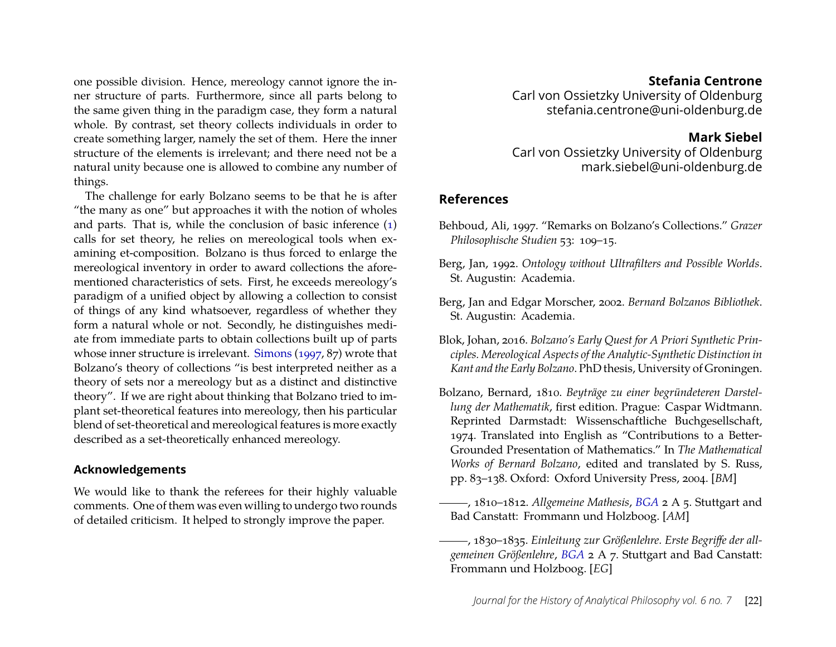one possible division. Hence, mereology cannot ignore the inner structure of parts. Furthermore, since all parts belong to the same given thing in the paradigm case, they form a natural whole. By contrast, set theory collects individuals in order to create something larger, namely the set of them. Here the inner structure of the elements is irrelevant; and there need not be a natural unity because one is allowed to combine any number of things.

The challenge for early Bolzano seems to be that he is after "the many as one" but approaches it with the notion of wholes and parts. That is, while the conclusion of basic inference [\(1\)](#page-16-4) calls for set theory, he relies on mereological tools when examining et-composition. Bolzano is thus forced to enlarge the mereological inventory in order to award collections the aforementioned characteristics of sets. First, he exceeds mereology's paradigm of a unified object by allowing a collection to consist of things of any kind whatsoever, regardless of whether they form a natural whole or not. Secondly, he distinguishes mediate from immediate parts to obtain collections built up of parts whose inner structure is irrelevant. [Simons](#page-24-9) [\(1997,](#page-24-9) 87) wrote that Bolzano's theory of collections "is best interpreted neither as a theory of sets nor a mereology but as a distinct and distinctive theory". If we are right about thinking that Bolzano tried to implant set-theoretical features into mereology, then his particular blend of set-theoretical and mereological features is more exactly described as a set-theoretically enhanced mereology.

#### **Acknowledgements**

We would like to thank the referees for their highly valuable comments. One of them was even willing to undergo two rounds of detailed criticism. It helped to strongly improve the paper.

#### **Stefania Centrone**

Carl von Ossietzky University of Oldenburg stefania.centrone@uni-oldenburg.de

#### **Mark Siebel**

Carl von Ossietzky University of Oldenburg mark.siebel@uni-oldenburg.de

#### **References**

- <span id="page-22-4"></span>Behboud, Ali, 1997. "Remarks on Bolzano's Collections." *Grazer Philosophische Studien* 53: 109–15.
- <span id="page-22-3"></span>Berg, Jan, 1992. *Ontology without Ultrafilters and Possible Worlds*. St. Augustin: Academia.
- <span id="page-22-0"></span>Berg, Jan and Edgar Morscher, 2002. *Bernard Bolzanos Bibliothek*. St. Augustin: Academia.
- <span id="page-22-5"></span>Blok, Johan, 2016. *Bolzano's Early Quest for A Priori Synthetic Principles. Mereological Aspects of the Analytic-Synthetic Distinction in Kant and the Early Bolzano*. PhD thesis, University of Groningen.
- <span id="page-22-2"></span>Bolzano, Bernard, 1810. *Beyträge zu einer begründeteren Darstellung der Mathematik*, first edition. Prague: Caspar Widtmann. Reprinted Darmstadt: Wissenschaftliche Buchgesellschaft, 1974. Translated into English as "Contributions to a Better-Grounded Presentation of Mathematics." In *The Mathematical Works of Bernard Bolzano*, edited and translated by S. Russ, pp. 83–138. Oxford: Oxford University Press, 2004. [*BM*]
- <span id="page-22-1"></span>, 1810–1812. *Allgemeine Mathesis*, *[BGA](#page-23-0)* 2 A 5. Stuttgart and Bad Canstatt: Frommann und Holzboog. [*AM*]
- <span id="page-22-6"></span>, 1830–1835. *Einleitung zur Größenlehre. Erste Begriffe der allgemeinen Größenlehre*, *[BGA](#page-23-0)* 2 A 7. Stuttgart and Bad Canstatt: Frommann und Holzboog. [*EG*]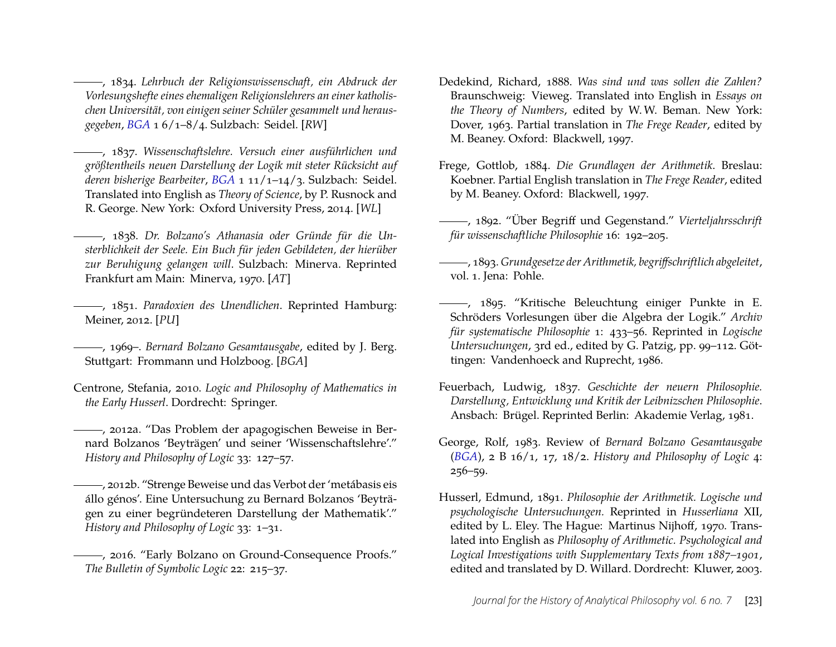<span id="page-23-3"></span>, 1834. *Lehrbuch der Religionswissenschaft, ein Abdruck der Vorlesungshefte eines ehemaligen Religionslehrers an einer katholischen Universität, von einigen seiner Schüler gesammelt und herausgegeben*, *[BGA](#page-23-0)* 1 6/1–8/4. Sulzbach: Seidel. [*RW*]

<span id="page-23-4"></span>, 1837. *Wissenschaftslehre. Versuch einer ausführlichen und größtentheils neuen Darstellung der Logik mit steter Rücksicht auf deren bisherige Bearbeiter*, *[BGA](#page-23-0)* 1 11/1–14/3. Sulzbach: Seidel. Translated into English as *Theory of Science*, by P. Rusnock and R. George. New York: Oxford University Press, 2014. [*WL*]

<span id="page-23-2"></span>, 1838. *Dr. Bolzano's Athanasia oder Gründe für die Unsterblichkeit der Seele. Ein Buch für jeden Gebildeten, der hierüber zur Beruhigung gelangen will*. Sulzbach: Minerva. Reprinted Frankfurt am Main: Minerva, 1970. [*AT*]

<span id="page-23-5"></span>, 1851. *Paradoxien des Unendlichen*. Reprinted Hamburg: Meiner, 2012. [*PU*]

<span id="page-23-0"></span>, 1969–. *Bernard Bolzano Gesamtausgabe*, edited by J. Berg. Stuttgart: Frommann und Holzboog. [*BGA*]

<span id="page-23-13"></span>Centrone, Stefania, 2010. *Logic and Philosophy of Mathematics in the Early Husserl*. Dordrecht: Springer.

<span id="page-23-9"></span>, 2012a. "Das Problem der apagogischen Beweise in Bernard Bolzanos 'Beyträgen' und seiner 'Wissenschaftslehre'." *History and Philosophy of Logic* 33: 127–57.

<span id="page-23-8"></span>, 2012b. "Strenge Beweise und das Verbot der 'metábasis eis állo génos'. Eine Untersuchung zu Bernard Bolzanos 'Beyträgen zu einer begründeteren Darstellung der Mathematik'." *History and Philosophy of Logic* 33: 1–31.

<span id="page-23-10"></span>, 2016. "Early Bolzano on Ground-Consequence Proofs." *The Bulletin of Symbolic Logic* 22: 215–37.

- <span id="page-23-11"></span>Dedekind, Richard, 1888. *Was sind und was sollen die Zahlen?* Braunschweig: Vieweg. Translated into English in *Essays on the Theory of Numbers*, edited by W. W. Beman. New York: Dover, 1963. Partial translation in *The Frege Reader*, edited by M. Beaney. Oxford: Blackwell, 1997.
- <span id="page-23-15"></span>Frege, Gottlob, 1884. *Die Grundlagen der Arithmetik*. Breslau: Koebner. Partial English translation in *The Frege Reader*, edited by M. Beaney. Oxford: Blackwell, 1997.
- <span id="page-23-16"></span>, 1892. "Über Begriff und Gegenstand." *Vierteljahrsschrift für wissenschaftliche Philosophie* 16: 192–205.

<span id="page-23-14"></span>, 1893. *Grundgesetze der Arithmetik, begriffschriftlich abgeleitet*, vol. 1. Jena: Pohle.

- <span id="page-23-6"></span>, 1895. "Kritische Beleuchtung einiger Punkte in E. Schröders Vorlesungen über die Algebra der Logik." *Archiv für systematische Philosophie* 1: 433–56. Reprinted in *Logische Untersuchungen*, 3rd ed., edited by G. Patzig, pp. 99–112. Göttingen: Vandenhoeck and Ruprecht, 1986.
- <span id="page-23-1"></span>Feuerbach, Ludwig, 1837. *Geschichte der neuern Philosophie. Darstellung, Entwicklung und Kritik der Leibnizschen Philosophie*. Ansbach: Brügel. Reprinted Berlin: Akademie Verlag, 1981.
- <span id="page-23-7"></span>George, Rolf, 1983. Review of *Bernard Bolzano Gesamtausgabe* (*[BGA](#page-23-0)*), 2 B 16/1, 17, 18/2. *History and Philosophy of Logic* 4: 256–59.
- <span id="page-23-12"></span>Husserl, Edmund, 1891. *Philosophie der Arithmetik. Logische und psychologische Untersuchungen.* Reprinted in *Husserliana* XII, edited by L. Eley. The Hague: Martinus Nijhoff, 1970. Translated into English as *Philosophy of Arithmetic. Psychological and Logical Investigations with Supplementary Texts from 1887–1901*, edited and translated by D. Willard. Dordrecht: Kluwer, 2003.